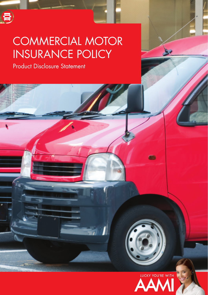

# COMMERCIAL MOTOR INSURANCE POLICY

Product Disclosure Statement

8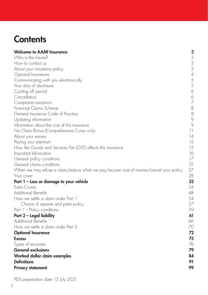# **Contents**

| <b>Welcome to AAMI Insurance</b>                                                        | 3              |
|-----------------------------------------------------------------------------------------|----------------|
| Who is the insurer?                                                                     | 3              |
| How to contact us                                                                       | $\frac{3}{3}$  |
| About your insurance policy                                                             |                |
| Optional Insurances                                                                     | $\overline{A}$ |
| Communicating with you electronically                                                   | 5              |
| Your duty of disclosure                                                                 | 5              |
| Cooling off period                                                                      | $\Diamond$     |
| Cancellation                                                                            | $\Diamond$     |
| Complaints resolution                                                                   | $\overline{7}$ |
| Financial Claims Scheme                                                                 | $\,8\,$        |
| General Insurance Code of Practice                                                      | 8              |
| Updating information                                                                    | 9              |
| Information about the cost of this insurance                                            | $\circ$        |
| No Claim Bonus (Comprehensive Cover only)                                               | $\vert \vert$  |
| About your excess                                                                       | 14             |
| Paying your premium                                                                     | 15             |
| How the Goods and Services Tax (GST) affects this insurance                             | 15             |
| Important Information                                                                   | 16             |
| General policy conditions                                                               | 17             |
| General claims conditions                                                               | 21             |
| When we may refuse a claim/reduce what we pay/recover cost of monies/cancel your policy | 27             |
| Your cover                                                                              | 28             |
| Part 1 – Loss or damage to your vehicle                                                 | 32             |
| Extra Covers<br><b>Additional Benefits</b>                                              | 34<br>48       |
| How we settle a claim under Part 1                                                      | 54             |
|                                                                                         | 57             |
| Choice of repairer and parts policy<br>Part 1 - Policy conditions                       | 59             |
| Part 2 - Legal liability                                                                | 61             |
| <b>Additional Benefits</b>                                                              | 66             |
| How we settle a claim under Part 2                                                      | 70             |
| <b>Optional Insurance</b>                                                               | 72             |
| <b>Excess</b>                                                                           | 75             |
| Types of excesses                                                                       | 76             |
| <b>General exclusions</b>                                                               | 79             |
| Worked dollar claim examples                                                            | 84             |
| <b>Definitions</b>                                                                      | 91             |
|                                                                                         | 99             |
| <b>Privacy statement</b>                                                                |                |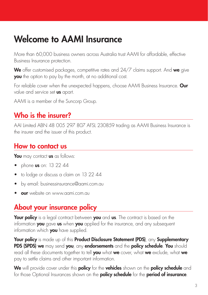# <span id="page-2-0"></span>Welcome to AAMI Insurance

More than 60,000 business owners across Australia trust AAMI for affordable, effective Business Insurance protection.

We offer customised packages, competitive rates and 24/7 claims support. And we give **you** the option to pay by the month, at no additional cost.

For reliable cover when the unexpected happens, choose AAMI Business Insurance. Our value and service set **us** apart.

AAMI is a member of the Suncorp Group.

## Who is the insurer?

AAI Limited ABN 48 005 297 807 AFSL 230859 trading as AAMI Business Insurance is the insurer and the issuer of this product.

## How to contact us

You may contact us as follows:

- phone us on:  $132244$
- to lodge or discuss a claim on 13 22 44
- by email: [businessinsurance@aami.com.au](mailto:businessinsurance@aami.com.au)
- **our** website on [www.aami.com.au](http://www.aami.com.au/)

## About your insurance policy

**Your policy** is a legal contract between you and us. The contract is based on the information you gave us when you applied for the insurance, and any subsequent information which you have supplied.

Your policy is made up of this Product Disclosure Statement (PDS), any Supplementary **PDS (SPDS) we** may send you, any endorsements and the policy schedule. You should read all these documents together to tell you what we cover, what we exclude, what we pay to settle claims and other important information.

We will provide cover under this policy for the vehicles shown on the policy schedule and for those Optional Insurances shown on the **policy schedule** for the **period of insurance**.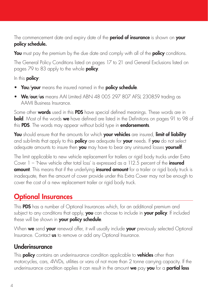<span id="page-3-0"></span>The commencement date and expiry date of the **period of insurance** is shown on your policy schedule.

You must pay the premium by the due date and comply with all of the policy conditions.

The General Policy Conditions listed on pages 17 to 21 and General Exclusions listed on pages 79 to 83 apply to the whole **policy**.

In this **policy**:

- You/your means the insured named in the policy schedule.
- We/our/us means AAI Limited ABN 48 005 297 807 AFSL 230859 trading as AAMI Business Insurance.

Some other words used in this PDS have special defined meanings. These words are in **bold**. Most of the words we have defined are listed in the Definitions on pages 91 to 98 of this PDS. The words may appear without bold type in endorsements.

You should ensure that the amounts for which your vehicles are insured, limit of liability and sub-limits that apply to this **policy** are adequate for your needs. If you do not select adequate amounts to insure then you may have to bear any uninsured losses yourself.

The limit applicable to new vehicle replacement for trailers or rigid body trucks under Extra Cover  $1 -$  'New vehicle after total loss' is expressed as a 112.5 percent of the *insured* amount. This means that if the underlying insured amount for a trailer or rigid body truck is inadequate, then the amount of cover provide under this Extra Cover may not be enough to cover the cost of a new replacement trailer or rigid body truck.

## Optional Insurances

This PDS has a number of Optional Insurances which, for an additional premium and subject to any conditions that apply, you can choose to include in your policy. If included these will be shown in **your policy schedule**.

When we send your renewal offer, it will usually include your previously selected Optional Insurance. Contact us to remove or add any Optional Insurance.

#### Underinsurance

This **policy** contains an underinsurance condition applicable to **vehicles** other than motorcycles, cars, 4WDs, utilities or vans of not more than 2 tonne carrying capacity. If the underinsurance condition applies it can result in the amount we pay you for a partial loss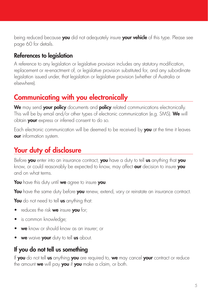<span id="page-4-0"></span>being reduced because you did not adequately insure your vehicle of this type. Please see page 60 for details.

#### References to legislation

A reference to any legislation or legislative provision includes any statutory modification, replacement or re-enactment of, or legislative provision substituted for, and any subordinate legislation issued under, that legislation or legislative provision (whether of Australia or elsewhere).

# Communicating with you electronically

We may send your policy documents and policy related communications electronically. This will be by email and/or other types of electronic communication (e.g. SMS). We will obtain **your** express or inferred consent to do so.

Each electronic communication will be deemed to be received by you at the time it leaves **our** information system.

# Your duty of disclosure

Before you enter into an insurance contract, you have a duty to tell us anything that you know, or could reasonably be expected to know, may affect our decision to insure you and on what terms.

You have this duty until we agree to insure you.

You have the same duty before you renew, extend, vary or reinstate an insurance contract.

You do not need to tell us anything that:

- reduces the risk we insure you for;
- is common knowledge;
- **we** know or should know as an insurer; or
- we waive your duty to tell us about.

#### If you do not tell us something

If you do not tell us anything you are required to, we may cancel your contract or reduce the amount we will pay you if you make a claim, or both.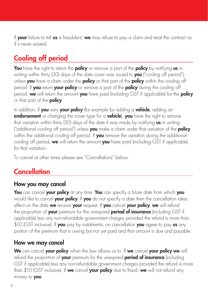<span id="page-5-0"></span>If your failure to tell us is fraudulent, we may refuse to pay a claim and treat the contract as if it never existed.

# Cooling off period

You have the right to return the policy or remove a part of the policy by notifying us in writing within thirty (30) days of the date cover was issued to you ("cooling off period"), unless you have a claim under the policy or that part of the policy within the cooling off period. If you return your policy or remove a part of the policy during the cooling off period, we will return the amount you have paid (including GST if applicable) for the policy or that part of the **policy**.

In addition, if you vary your policy (for example by adding a vehicle, adding an endorsement or changing the cover type for a vehicle), you have the right to remove that variation within thirty (30) days of the date it was made by notifying **us** in writing ("additional cooling off period") unless you make a claim under that variation of the policy within the additional cooling off period. If you remove the variation during the additional cooling off period, we will return the amount you have paid (including GST if applicable) for that variation.

To cancel at other times please see "Cancellations" below.

# **Cancellation**

#### How you may cancel

You can cancel your policy at any time. You can specify a future date from which you would like to cancel your policy. If you do not specify a date then the cancellation takes effect on the date we receive your request. If you cancel your policy, we will refund the proportion of your premium for the unexpired period of insurance (including GST if applicable) less any non-refundable government charges provided the refund is more than \$10 (GST inclusive). If **you** pay by instalments, on cancellation **you** agree to pay **us** any portion of the premium that is owing but not yet paid and that amount is due and payable.

#### How we may cancel

We can cancel your policy when the law allows us to. If we cancel your policy we will refund the proportion of your premium for the unexpired period of insurance (including GST if applicable) less any non-refundable government charges provided the refund is more than \$10 (GST inclusive). If we cancel your policy due to fraud, we will not refund any money to **you**.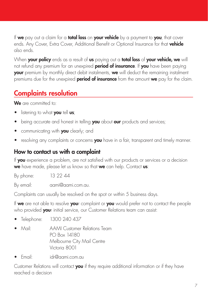<span id="page-6-0"></span>If we pay out a claim for a total loss on your vehicle by a payment to you, that cover ends. Any Cover, Extra Cover, Additional Benefit or Optional Insurance for that vehicle also ends.

When your policy ends as a result of us paying out a total loss of your vehicle, we will not refund any premium for an unexpired **period of insurance**. If you have been paying your premium by monthly direct debit instalments, we will deduct the remaining instalment premiums due for the unexpired **period of insurance** from the amount we pay for the claim.

## Complaints resolution

We are committed to:

- listening to what **you** tell **us**;
- being accurate and honest in telling you about our products and services;
- communicating with **you** clearly; and
- resolving any complaints or concerns **you** have in a fair, transparent and timely manner.

#### How to contact us with a complaint

If you experience a problem, are not satisfied with our products or services or a decision we have made, please let us know so that we can help. Contact us:

By phone: 13 22 44

By email: aami@aami.com.au.

Complaints can usually be resolved on the spot or within 5 business days.

If we are not able to resolve your complaint or you would prefer not to contact the people who provided **you**r initial service, our Customer Relations team can assist:

- Telephone: 1300 240 437
- Mail: AAMI Customer Relations Team PO Box 14180 Melbourne City Mail Centre Victoria 8001
- Email: idr@aami.com.au

Customer Relations will contact you if they require additional information or if they have reached a decision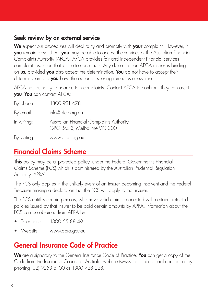#### <span id="page-7-0"></span>Seek review by an external service

We expect our procedures will deal fairly and promptly with your complaint. However, if you remain dissatisfied, you may be able to access the services of the Australian Financial Complaints Authority (AFCA). AFCA provides fair and independent financial services complaint resolution that is free to consumers. Any determination AFCA makes is binding on **us**, provided **you** also accept the determination. You do not have to accept their determination and you have the option of seeking remedies elsewhere.

AFCA has authority to hear certain complaints. Contact AFCA to confirm if they can assist you. You can contact AFCA:

| By phone:    | 1800 931 678                                                                |
|--------------|-----------------------------------------------------------------------------|
| By email:    | info@afca.org.au                                                            |
| In writing:  | Australian Financial Complaints Authority,<br>GPO Box 3, Melbourne VIC 3001 |
| By visiting: | www.afca.org.au                                                             |

## Financial Claims Scheme

**This** policy may be a 'protected policy' under the Federal Government's Financial Claims Scheme (FCS) which is administered by the Australian Prudential Regulation Authority (APRA).

The FCS only applies in the unlikely event of an insurer becoming insolvent and the Federal Treasurer making a declaration that the FCS will apply to that insurer.

The FCS entitles certain persons, who have valid claims connected with certain protected policies issued by that insurer to be paid certain amounts by APRA. Information about the FCS can be obtained from [APRA](http://www.fcs.gov.au/) by:

- Telephone: 1300 55 88 49
- Website: www.apra.gov.au

## General Insurance Code of Practice

We are a signatory to the General Insurance Code of Practice. You can get a copy of the Code from the Insurance Council of Australia website (www.insurancecouncil.com.au) or by phoning (02) 9253 5100 or 1300 728 228.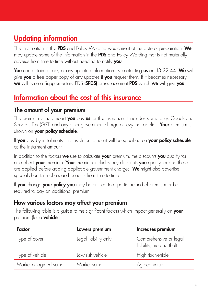# <span id="page-8-0"></span>Updating information

The information in this PDS and Policy Wording was current at the date of preparation. We may update some of the information in the PDS and Policy Wording that is not materially adverse from time to time without needing to notify you.

You can obtain a copy of any updated information by contacting us on 13 22 44. We will give you a free paper copy of any updates if you request them. If it becomes necessary, we will issue a Supplementary PDS (SPDS) or replacement PDS which we will give you.

## Information about the cost of this insurance

#### The amount of your premium

The premium is the amount you pay us for this insurance. It includes stamp duty, Goods and Services Tax (GST) and any other government charge or levy that applies. Your premium is shown on your policy schedule.

If you pay by instalments, the instalment amount will be specified on your policy schedule as the instalment amount.

In addition to the factors we use to calculate your premium, the discounts you qualify for also affect your premium. Your premium includes any discounts you qualify for and these are applied before adding applicable government charges. We might also advertise special short term offers and benefits from time to time.

If you change your policy you may be entitled to a partial refund of premium or be required to pay an additional premium.

#### How various factors may affect your premium

The following table is a quide to the significant factors which impact generally on **your** premium (for a **vehicle**).

| Factor                 | Lowers premium       | Increases premium                                   |
|------------------------|----------------------|-----------------------------------------------------|
| Type of cover          | Legal liability only | Comprehensive or legal<br>liability, fire and theft |
| Type of vehicle        | Low risk vehicle     | High risk vehicle                                   |
| Market or agreed value | Market value         | Agreed value                                        |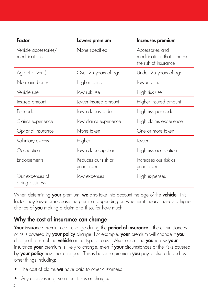| Factor                                | Lowers premium                    | Increases premium                                                       |
|---------------------------------------|-----------------------------------|-------------------------------------------------------------------------|
| Vehicle accessories/<br>modifications | None specified                    | Accessories and<br>modifications that increase<br>the risk of insurance |
| Age of driver(s)                      | Over 25 years of age              | Under 25 years of age                                                   |
| No claim bonus                        | Higher rating                     | Lower rating                                                            |
| Vehicle use                           | Low risk use                      | High risk use                                                           |
| Insured amount                        | Lower insured amount              | Higher insured amount                                                   |
| Postcode                              | Low risk postcode                 | High risk postcode                                                      |
| Claims experience                     | Low claims experience             | High claims experience                                                  |
| Optional Insurance                    | None taken                        | One or more taken                                                       |
| Voluntary excess                      | Higher                            | lower                                                                   |
| Occupation                            | Low risk occupation               | High risk occupation                                                    |
| Endorsements                          | Reduces our risk or<br>your cover | Increases our risk or<br>your cover                                     |
| Our expenses of<br>doing business     | Low expenses                      | High expenses                                                           |

When determining your premium, we also take into account the age of the vehicle. This factor may lower or increase the premium depending on whether it means there is a higher chance of **you** making a claim and if so, for how much.

#### Why the cost of insurance can change

Your insurance premium can change during the period of insurance if the circumstances or risks covered by your policy change. For example, your premium will change if you change the use of the **vehicle** or the type of cover. Also, each time you renew your insurance your premium is likely to change, even if your circumstances or the risks covered by your policy have not changed. This is because premium you pay is also affected by other things including:

- The cost of claims we have paid to other customers;
- Any changes in government taxes or charges ;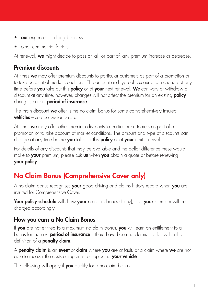- <span id="page-10-0"></span>**our** expenses of doing business;
- other commercial factors:

At renewal, we might decide to pass on all, or part of, any premium increase or decrease.

## Premium discounts

At times we may offer premium discounts to particular customers as part of a promotion or to take account of market conditions. The amount and type of discounts can change at any time before you take out this policy or at your next renewal. We can vary or withdraw a discount at any time, however, changes will not affect the premium for an existing **policy** during its current **period of insurance**.

The main discount we offer is the no claim bonus for some comprehensively insured vehicles – see below for details.

At times we may offer other premium discounts to particular customers as part of a promotion or to take account of market conditions. The amount and type of discounts can change at any time before you take out this policy or at your next renewal.

For details of any discounts that may be available and the dollar difference these would make to your premium, please ask us when you obtain a quote or before renewing your policy.

# No Claim Bonus (Comprehensive Cover only)

A no claim bonus recognises your good driving and claims history record when you are insured for Comprehensive Cover.

Your policy schedule will show your no claim bonus (if any), and your premium will be charged accordingly.

#### How you earn a No Claim Bonus

If you are not entitled to a maximum no claim bonus, you will earn an entitlement to a bonus for the next **period of insurance** if there have been no claims that fall within the definition of a **penalty claim**.

A **penalty claim** is an event or claim where you are at fault, or a claim where we are not able to recover the costs of repairing or replacing your vehicle.

The following will apply if **you** qualify for a no claim bonus: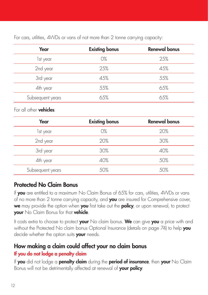For cars, utilities, 4WDs or vans of not more than 2 tonne carrying capacity:

| Year             | <b>Existing bonus</b> | <b>Renewal bonus</b> |
|------------------|-----------------------|----------------------|
| 1st year         | 0%                    | 25%                  |
| 2nd year         | 25%                   | 45%                  |
| 3rd year         | 45%                   | 55%                  |
| 4th year         | 55%                   | 65%                  |
| Subsequent years | 65%                   | 65%                  |

For all other vehicles:

| Year             | <b>Existing bonus</b> | <b>Renewal bonus</b> |
|------------------|-----------------------|----------------------|
| 1st year         | 0%                    | 20%                  |
| 2nd year         | 20%                   | 30%                  |
| 3rd year         | 30%                   | 40%                  |
| 4th year         | 40%                   | 50%                  |
| Subsequent years | 50%                   | 50%                  |

#### Protected No Claim Bonus

If you are entitled to a maximum No Claim Bonus of 65% for cars, utilities, 4WDs or vans of no more than 2 tonne carrying capacity, and you are insured for Comprehensive cover, we may provide the option when you first take out the policy, or upon renewal, to protect your No Claim Bonus for that vehicle.

It costs extra to choose to protect your No claim bonus. We can give you a price with and without the Protected No claim bonus Optional Insurance Idetails on page 74) to help you decide whether the option suits your needs.

# How making a claim could affect your no claim bonus

#### If you do not lodge a penalty claim

If you did not lodge a penalty claim during the period of insurance, then your No Claim Bonus will not be detrimentally affected at renewal of your policy.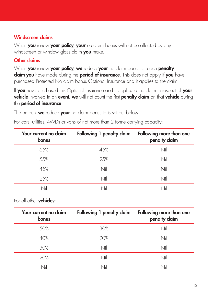#### Windscreen claims

When you renew your policy, your no claim bonus will not be affected by any windscreen or window glass claim you make.

#### Other claims

When you renew your policy, we reduce your no claim bonus for each penalty claim you have made during the period of insurance. This does not apply if you have purchased Protected No claim bonus Optional Insurance and it applies to the claim.

If you have purchased this Optional Insurance and it applies to the claim in respect of your vehicle involved in an event, we will not count the first penalty claim on that vehicle during the **period of insurance**.

The amount we reduce your no claim bonus to is set out below:

|  |  |  |  |  | For cars, utilities, 4WDs or vans ot not more than 2 tonne carrying capacity: |  |
|--|--|--|--|--|-------------------------------------------------------------------------------|--|
|  |  |  |  |  |                                                                               |  |

| Your current no claim<br>bonus | Following 1 penalty claim | Following more than one<br>penalty claim |
|--------------------------------|---------------------------|------------------------------------------|
| 65%                            | 45%                       | Nil                                      |
| 55%                            | 25%                       | Nil                                      |
| 45%                            | Nil                       | Nil                                      |
| 25%                            | Nil                       | Nil                                      |
| Nil                            | Nil                       | Nil                                      |

For all other vehicles:

| Your current no claim<br>bonus | Following 1 penalty claim | Following more than one<br>penalty claim |
|--------------------------------|---------------------------|------------------------------------------|
| 50%                            | 30%                       | Nil                                      |
| 40%                            | 20%                       | Nil                                      |
| 30%                            | Nil                       | Nil                                      |
| 20%                            | Nil                       | Nil                                      |
| Ni                             |                           | Nil                                      |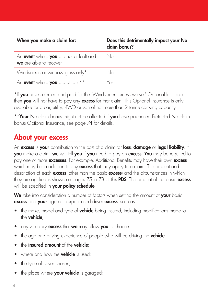<span id="page-13-0"></span>

| When you make a claim for:                                        | Does this detrimentally impact your No<br>claim bonus? |
|-------------------------------------------------------------------|--------------------------------------------------------|
| An event where you are not at fault and<br>we are able to recover | No                                                     |
| Windscreen or window glass only*                                  | No                                                     |
| An event where you are at fault**                                 | Yes                                                    |

\*If you have selected and paid for the 'Windscreen excess waiver' Optional Insurance, then you will not have to pay any excess for that claim. This Optional Insurance is only available for a car, utility, 4WD or van of not more than 2 tonne carrying capacity.

\*\*Your No claim bonus might not be affected if you have purchased Protected No claim bonus Optional Insurance, see page 74 for details.

#### About your excess

An excess is your contribution to the cost of a claim for loss, damage or legal liability. If you make a claim, we will tell you if you need to pay an excess. You may be required to pay one or more **excesses**. For example, Additional Benefits may have their own **excess** which may be in addition to any excess that may apply to a claim. The amount and description of each **excess** (other than the basic **excess**) and the circumstances in which they are applied is shown on pages 75 to 78 of this **PDS**. The amount of the basic **excess** will be specified in your policy schedule.

We take into consideration a number of factors when setting the amount of your basic excess and your age or inexperienced driver excess, such as:

- the make, model and type of **vehicle** being insured, including modifications made to the vehicle;
- any voluntary **excess** that we may allow you to choose:
- the age and driving experience of people who will be driving the **vehicle**;
- the insured amount of the vehicle:
- where and how the **vehicle** is used:
- the type of cover chosen;
- the place where your vehicle is garaged;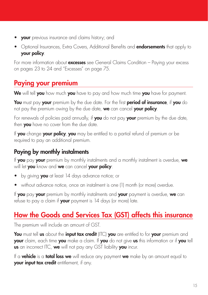- <span id="page-14-0"></span>• your previous insurance and claims history; and
- Optional Insurances, Extra Covers, Additional Benefits and **endorsements** that apply to your policy.

For more information about **excesses** see General Claims Condition – Paying your excess on pages 23 to 24 and "Excesses" on page 75.

## Paying your premium

We will tell you how much you have to pay and how much time you have for payment.

You must pay your premium by the due date. For the first period of insurance, if you do not pay the premium owing by the due date, we can cancel your policy.

For renewals of policies paid annually, if you do not pay your premium by the due date, then you have no cover from the due date.

If you change your policy, you may be entitled to a partial refund of premium or be required to pay an additional premium.

## Paying by monthly instalments

If you pay your premium by monthly instalments and a monthly instalment is overdue, we will let you know and we can cancel your policy:

- by giving **you** at least 14 days advance notice; or
- without advance notice, once an instalment is one (1) month (or more) overdue.

If you pay your premium by monthly instalments and your payment is overdue, we can refuse to pay a claim if your payment is 14 days (or more) late.

# How the Goods and Services Tax (GST) affects this insurance

The premium will include an amount of GST.

You must tell us about the *input tax credit* (ITC) you are entitled to for your premium and your claim, each time you make a claim. If you do not give us this information or if you tell us an incorrect ITC, we will not pay any GST liability you incur.

If a **vehicle** is a **total loss we** will reduce any payment we make by an amount equal to your input tax credit entitlement, if any.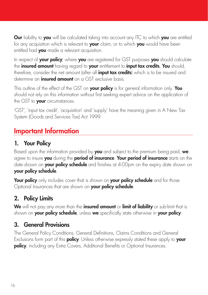<span id="page-15-0"></span>**Our** liability to you will be calculated taking into account any ITC to which you are entitled for any acquisition which is relevant to your claim, or to which you would have been entitled had **you** made a relevant acquisition.

In respect of your policy, where you are registered for GST purposes you should calculate the **insured amount** having regard to **your** entitlement to **input tax credits. You** should, therefore, consider the net amount (after all **input tax credits**) which is to be insured and determine an insured amount on a GST exclusive basis.

This outline of the effect of the GST on your policy is for general information only. You should not rely on this information without first seeking expert advice on the application of the GST to your circumstances.

'GST', 'input tax credit', 'acquisition' and 'supply' have the meaning given in A New Tax System (Goods and Services Tax) Act 1999.

## Important Information

#### 1. Your Policy

Based upon the information provided by you and subject to the premium being paid, we agree to insure you during the period of insurance. Your period of insurance starts on the date shown on **your policy schedule** and finishes at 4:00pm on the expiry date shown on your policy schedule.

**Your policy** only includes cover that is shown on your policy schedule and for those Optional Insurances that are shown on **your policy schedule**.

## 2. Policy Limits

We will not pay any more than the insured amount or limit of liability or sub-limit that is shown on your policy schedule, unless we specifically state otherwise in your policy.

#### 3. General Provisions

The General Policy Conditions, General Definitions, Claims Conditions and General Exclusions form part of this **policy**. Unless otherwise expressly stated these apply to your policy, including any Extra Covers, Additional Benefits or Optional Insurances.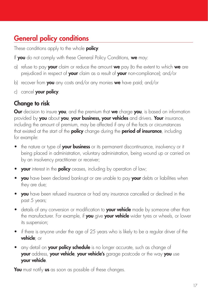## <span id="page-16-0"></span>General policy conditions

These conditions apply to the whole **policy**.

- If you do not comply with these General Policy Conditions, we may:
- a) refuse to pay **your** claim or reduce the amount **we** pay (to the extent to which **we** are prejudiced in respect of your claim as a result of your non-compliance); and/or
- b) recover from **you** any costs and/or any monies **we** have paid; and/or
- c) cancel your policy.

## Change to risk

Our decision to insure you, and the premium that we charge you, is based on information provided by you about you, your business, your vehicles and drivers. Your insurance, including the amount of premium, may be affected if any of the facts or circumstances that existed at the start of the **policy** change during the **period of insurance**, including for example:

- the nature or type of your business or its permanent discontinuance, insolvency or it being placed in administration, voluntary administration, being wound up or carried on by an insolvency practitioner or receiver;
- your interest in the policy ceases, including by operation of law;
- you have been declared bankrupt or are unable to pay your debts or liabilities when they are due;
- you have been refused insurance or had any insurance cancelled or declined in the past 5 years;
- details of any conversion or modification to your vehicle made by someone other than the manufacturer. For example, if you give your vehicle wider tyres or wheels, or lower its suspension;
- if there is anyone under the age of 25 years who is likely to be a regular driver of the vehicle; or
- any detail on **your policy schedule** is no longer accurate, such as change of your address, your vehicle, your vehicle's garage postcode or the way you use your vehicle.

You must notify us as soon as possible of these changes.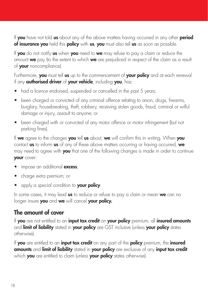If you have not told us about any of the above matters having occurred in any other period of insurance you held this policy with us, you must also tell us as soon as possible.

If you do not notify us when you need to we may refuse to pay a claim or reduce the amount we pay (to the extent to which we are prejudiced in respect of the claim as a result of your noncompliance).

Furthermore, you must tell us up to the commencement of your policy and at each renewal if any **authorised driver** of your vehicle, including you, has:

- had a licence endorsed, suspended or cancelled in the past 5 years;
- been charged or convicted of any criminal offence relating to arson, drugs, firearms, burglary, housebreaking, theft, robbery, receiving stolen goods, fraud, criminal or wilful damage or injury, assault to anyone; or
- been charged with or convicted of any motor offence or motor infringement (but not parking fines).

If we agree to the changes you tell us about, we will confirm this in writing. When you contact us to inform us of any of these above matters occurring or having occurred, we may need to agree with **you** that one of the following changes is made in order to continue your cover:

- impose an additional **excess**,
- charge extra premium; or
- apply a special condition to your policy.

In some cases, it may lead  $us$  to reduce or refuse to pay a claim or mean  $we$  can no longer insure you and we will cancel your policy.

#### The amount of cover

If you are not entitled to an input tax credit on your policy premium, all insured amounts and limit of liability stated in your policy are GST inclusive (unless your policy states otherwise).

If you are entitled to an input tax credit on any part of the policy premium, the insured amounts and limit of liability stated in your policy are exclusive of any input tax credit which you are entitled to claim (unless your policy states otherwise).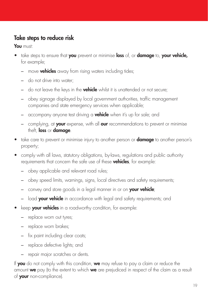#### Take steps to reduce risk

You must:

- take steps to ensure that you prevent or minimise loss of, or damage to, your vehicle, for example;
	- move **vehicles** away from rising waters including tides;
	- do not drive into water;
	- do not leave the keys in the **vehicle** whilst it is unattended or not secure;
	- obey signage displayed by local government authorities, traffic management companies and state emergency services when applicable;
	- $-$  accompany anyone test driving a **vehicle** when it's up for sale; and
	- complying, at your expense, with all our recommendations to prevent or minimise theft, loss or damage.
- take care to prevent or minimise injury to another person or **damage** to another person's property;
- comply with all laws, statutory obligations, by-laws, regulations and public authority requirements that concern the safe use of these **vehicles**, for example:
	- obey applicable and relevant road rules;
	- obey speed limits, warnings, signs, local directives and safety requirements;
	- convey and store goods in a legal manner in or on your vehicle;
	- load your vehicle in accordance with legal and safety requirements; and
- keep your vehicles in a roadworthy condition, for example:
	- replace worn out tyres;
	- replace worn brakes;
	- fix paint including clear coats;
	- replace defective lights; and
	- repair major scratches or dents.

If you do not comply with this condition, we may refuse to pay a claim or reduce the amount we pay (to the extent to which we are prejudiced in respect of the claim as a result of **your** non-compliance).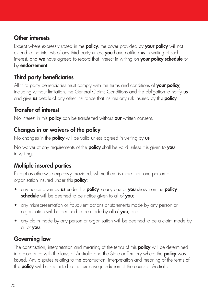#### Other interests

Except where expressly stated in the **policy**, the cover provided by your policy will not extend to the interests of any third party unless you have notified us in writing of such interest, and we have agreed to record that interest in writing on your policy schedule or by endorsement.

## Third party beneficiaries

All third party beneficiaries must comply with the terms and conditions of your policy, including without limitation, the General Claims Conditions and the obligation to notify us and give us details of any other insurance that insures any risk insured by this policy.

#### Transfer of interest

No interest in this **policy** can be transferred without **our** written consent.

#### Changes in or waivers of the policy

No changes in the **policy** will be valid unless agreed in writing by **us**.

No waiver of any requirements of the **policy** shall be valid unless it is given to **you** in writing.

## Multiple insured parties

Except as otherwise expressly provided, where there is more than one person or organisation insured under this **policy**:

- any notice given by us under this policy to any one of you shown on the policy schedule will be deemed to be notice given to all of you;
- any misrepresentation or fraudulent actions or statements made by any person or organisation will be deemed to be made by all of you; and
- any claim made by any person or organisation will be deemed to be a claim made by all of you.

## Governing law

The construction, interpretation and meaning of the terms of this **policy** will be determined in accordance with the laws of Australia and the State or Territory where the **policy** was issued. Any disputes relating to the construction, interpretation and meaning of the terms of this **policy** will be submitted to the exclusive jurisdiction of the courts of Australia.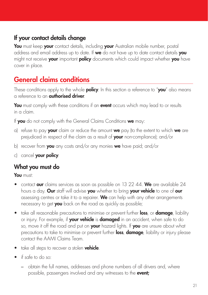## <span id="page-20-0"></span>If your contact details change

You must keep your contact details, including your Australian mobile number, postal address and email address up to date. If we do not have up to date contact details you might not receive your important policy documents which could impact whether you have cover in place.

# General claims conditions

These conditions apply to the whole **policy**. In this section a reference to "you" also means a reference to an **authorised driver** 

You must comply with these conditions if an event occurs which may lead to or results in a claim.

If you do not comply with the General Claims Conditions we may:

- a) refuse to pay **your** claim or reduce the amount  $we$  pay (to the extent to which  $we$  are prejudiced in respect of the claim as a result of your non-compliance); and/or
- b) recover from **you** any costs and/or any monies **we** have paid; and/or
- c) cancel your policy.

## What you must do

You must:

- contact our claims services as soon as possible on 13 22 44. We are available 24 hours a day. Our staff will advise you whether to bring your vehicle to one of our assessing centres or take it to a repairer. We can help with any other arrangements necessary to get you back on the road as quickly as possible;
- take all reasonable precautions to minimise or prevent further loss, or damage, liability or injury. For example, if **your vehicle** is **damaged** in an accident, when safe to do so, move it off the road and put on **your** hazard lights. If **you** are unsure about what precautions to take to minimise or prevent further loss, damage, liability or injury please contact the AAMI Claims Team.
- take all steps to recover a stolen **vehicle**.
- if safe to do so:
	- obtain the full names, addresses and phone numbers of all drivers and, where possible, passengers involved and any witnesses to the event;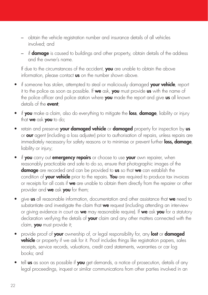- obtain the vehicle registration number and insurance details of all vehicles involved; and
- if **damage** is caused to buildings and other property, obtain details of the address and the owner's name.

If due to the circumstances of the accident, you are unable to obtain the above information, please contact us on the number shown above.

- if someone has stolen, attempted to steal or maliciously damaged your vehicle, report it to the police as soon as possible. If we ask, you must provide us with the name of the police officer and police station where you made the report and give us all known details of the event;
- if you make a claim, also do everything to mitigate the loss, damage, liability or injury that we ask you to do;
- retain and preserve your damaged vehicle or damaged property for inspection by us or **our** agent (including a loss adjuster) prior to authorisation of repairs, unless repairs are immediately necessary for safety reasons or to minimise or prevent further loss, damage, liability or injury;
- if you carry out emergency repairs or choose to use your own repairer, when reasonably practicable and safe to do so, ensure that photographic images of the damage are recorded and can be provided to us so that we can establish the condition of your vehicle prior to the repairs. You are required to produce tax invoices or receipts for all costs if we are unable to obtain them directly from the repairer or other provider and **we** ask you for them;
- give us all reasonable information, documentation and other assistance that we need to substantiate and investigate the claim that we request (including attending an interview or giving evidence in court as we may reasonable require). If we ask you for a statutory declaration verifying the details of your claim and any other matters connected with the claim, **you** must provide it;
- provide proof of your ownership of, or legal responsibility for, any lost or damaged **vehicle** or property if we ask for it. Proof includes things like registration papers, sales receipts, service records, valuations, credit card statements, warranties or car log books; and
- tell us as soon as possible if you get demands, a notice of prosecution, details of any legal proceedings, inquest or similar communications from other parties involved in an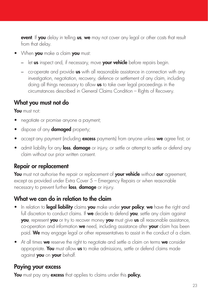event. If you delay in telling us, we may not cover any legal or other costs that result from that delay.

- When you make a claim you must:
	- let us inspect and, if necessary, move your vehicle before repairs begin.
	- $-$  co-operate and provide us with all reasonable assistance in connection with any investigation, negotiation, recovery, defence or settlement of any claim, including doing all things necessary to allow us to take over legal proceedings in the circumstances described in General Claims Condition – Rights of Recovery.

#### What you must not do

You must not:

- negotiate or promise anyone a payment;
- dispose of any **damaged** property;
- accept any payment (including excess payments) from anyone unless we agree first; or
- admit liability for any loss, damage or injury, or settle or attempt to settle or defend any claim without our prior written consent.

#### Repair or replacement

You must not authorise the repair or replacement of your vehicle without our agreement, except as provided under Extra Cover 5 – Emergency Repairs or when reasonable necessary to prevent further loss, damage or injury.

#### What we can do in relation to the claim

- In relation to legal liability claims you make under your policy, we have the right and full discretion to conduct claims. If we decide to defend vou, settle any claim against you, represent you or try to recover money you must give us all reasonable assistance, co-operation and information we need, including assistance after your claim has been paid. We may engage legal or other representatives to assist in the conduct of a claim.
- At all times we reserve the right to negotiate and settle a claim on terms we consider appropriate. You must allow us to make admissions, settle or defend claims made against you on your behalf.

#### Paying your excess

You must pay any excess that applies to claims under this policy.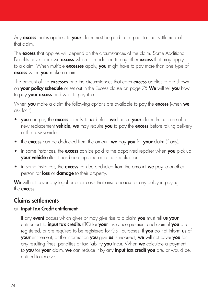Any **excess** that is applied to **your** claim must be paid in full prior to final settlement of that claim.

The **excess** that applies will depend on the circumstances of the claim. Some Additional Benefits have their own **excess** which is in addition to any other **excess** that may apply to a claim. When multiple excesses apply, you might have to pay more than one type of excess when you make a claim.

The amount of the excesses and the circumstances that each excess applies to are shown on your policy schedule or set out in the Excess clause on page 75 We will tell you how to pay **your excess** and who to pay it to.

When you make a claim the following options are available to pay the excess (when we ask for it):

- you can pay the excess directly to us before we finalise your claim. In the case of a new replacement vehicle, we may require you to pay the excess before taking delivery of the new vehicle;
- the excess can be deducted from the amount we pay you for your claim (if any);
- $\bullet$  in some instances, the **excess** can be paid to the appointed repairer when  $you$  pick up **your vehicle** after it has been repaired or to the supplier; or
- in some instances, the **excess** can be deducted from the amount we pay to another person for **loss** or **damage** to their property.

We will not cover any legal or other costs that arise because of any delay in paying the excess.

#### Claims settlements

#### a) Input Tax Credit entitlement

If any event occurs which gives or may give rise to a claim you must tell us your entitlement to *input tax credits* (ITC) for your insurance premium and claim if you are registered, or are required to be registered for GST purposes. If you do not inform us of your entitlement, or the information you give us is incorrect, we will not cover you for any resulting fines, penalties or tax liability you incur. When we calculate a payment to you for your claim, we can reduce it by any input tax credit you are, or would be, entitled to receive.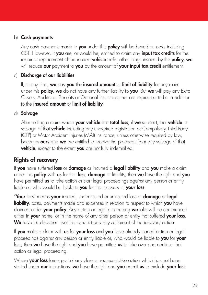#### b) Cash payments

Any cash payments made to you under this policy will be based on costs including GST. However, if you are, or would be, entitled to claim any input tax credits for the repair or replacement of the insured vehicle or for other things insured by the policy, we will reduce our payment to you by the amount of your input tax credit entitlement.

#### c) Discharge of our liabilities

If, at any time, we pay you the insured amount or limit of liability for any claim under this **policy, we** do not have any further liability to you. But we will pay any Extra Covers, Additional Benefits or Optional Insurances that are expressed to be in addition to the **insured amount** or **limit of liability**.

#### d) Salvage

After settling a claim where your vehicle is a total loss, if we so elect, that vehicle or salvage of that **vehicle** including any unexpired registration or Compulsory Third Party (CTP) or Motor Accident Injuries (MAI) insurance, unless otherwise required by law, becomes **ours** and we are entitled to receive the proceeds from any salvage of that **vehicle**, except to the extent **you** are not fully indemnified.

#### Rights of recovery

If you have suffered loss or damage or incurred a legal liability and you make a claim under this **policy** with us for that loss, damage or liability, then we have the right and you have permitted **us** to take action or start legal proceedings against any person or entity liable or, who would be liable to you for the recovery of your loss.

"Your loss" means your insured, underinsured or uninsured loss or damage or legal liability, costs, payments made and expenses in relation to respect to which you have claimed under your policy. Any action or legal proceeding we take will be commenced either in your name, or in the name of any other person or entity that suffered your loss. We have full discretion over the conduct and any settlement of the recovery action.

If you make a claim with us for your loss and you have already started action or legal proceedings against any person or entity liable or, who would be liable to you for your loss, then we have the right and you have permitted us to take over and continue that action or legal proceeding.

Where **your loss** forms part of any class or representative action which has not been started under our instructions, we have the right and you permit us to exclude your loss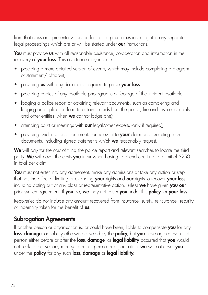from that class or representative action for the purpose of us including it in any separate legal proceedings which are or will be started under our instructions.

You must provide us with all reasonable assistance, co-operation and information in the recovery of **your loss**. This assistance may include:

- providing a more detailed version of events, which may include completing a diagram or statement/ affidavit;
- providing us with any documents required to prove your loss;
- providing copies of any available photographs or footage of the incident available;
- lodging a police report or obtaining relevant documents, such as completing and lodging an application form to obtain records from the police, fire and rescue, councils and other entities (when we cannot lodge one);
- attending court or meetings with **our** legal/other experts (only if required);
- providing evidence and documentation relevant to your claim and executing such documents, including signed statements which we reasonably request.

We will pay for the cost of filing the police report and relevant searches to locate the third party. We will cover the costs you incur when having to attend court up to a limit of \$250 in total per claim.

You must not enter into any agreement, make any admissions or take any action or step that has the effect of limiting or excluding your rights and our rights to recover your loss, including opting out of any class or representative action, unless we have given you our prior written agreement. If you do, we may not cover you under this policy for your loss.

Recoveries do not include any amount recovered from insurance, surety, reinsurance, security or indemnity taken for the benefit of us.

#### Subrogation Agreements

If another person or organisation is, or could have been, liable to compensate you for any loss, damage, or liability otherwise covered by the policy, but you have agreed with that person either before or after the loss, damage, or legal liability occurred that you would not seek to recover any money from that person or organisation, we will not cover you under the **policy** for any such loss, damage or legal liability.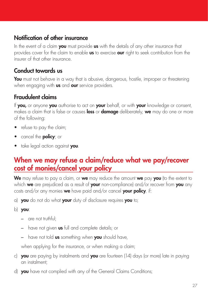#### <span id="page-26-0"></span>Notification of other insurance

In the event of a claim you must provide us with the details of any other insurance that provides cover for the claim to enable us to exercise our right to seek contribution from the insurer of that other insurance.

#### Conduct towards us

You must not behave in a way that is abusive, dangerous, hostile, improper or threatening when engaging with **us** and **our** service providers.

#### Fraudulent claims

If you, or anyone you authorise to act on your behalf, or with your knowledge or consent, makes a claim that is false or causes loss or damage deliberately, we may do one or more of the following:

- refuse to pay the claim;
- cancel the **policy**; or
- take legal action against you.

## When we may refuse a claim/reduce what we pay/recover cost of monies/cancel your policy

We may refuse to pay a claim, or we may reduce the amount we pay you (to the extent to which **we** are prejudiced as a result of **vour** non-compliance) and/or recover from **vou** any costs and/or any monies we have paid and/or cancel your policy, if:

- a) **you** do not do what **your** duty of disclosure requires **you** to:
- b) you:
	- are not truthful;
	- have not given **us** full and complete details; or
	- have not told **us** something when you should have,

when applying for the insurance, or when making a claim;

- c) **you** are paying by instalments and **you** are fourteen (14) days (or more) late in paying an instalment;
- d) you have not complied with any of the General Claims Conditions;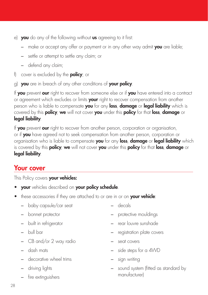- <span id="page-27-0"></span>e) you do any of the following without us agreeing to it first:
	- $-$  make or accept any offer or payment or in any other way admit **you** are liable;
	- settle or attempt to settle any claim; or
	- defend any claim;
- f) cover is excluded by the **policy**; or
- g) you are in breach of any other conditions of your policy.

If you prevent our right to recover from someone else or if you have entered into a contract or agreement which excludes or limits your right to recover compensation from another person who is liable to compensate you for any loss, damage or legal liability which is covered by this **policy, we** will not cover you under this **policy** for that loss, damage or legal liability.

If you prevent our right to recover from another person, corporation or organisation, or if you have agreed not to seek compensation from another person, corporation or organisation who is liable to compensate you for any loss, damage or legal liability which is covered by this **policy, we** will not cover you under this policy for that loss, damage or legal liability.

#### Your cover

This Policy covers your vehicles:

- **•** your vehicles described on your policy schedule.
- these accessories if they are attached to or are in or on **your vehicle**:
	- baby capsule/car seat
	- bonnet protector
	- built in refrigerator
	- bull bar
	- CB and/or 2 way radio
	- dash mats
	- decorative wheel trims
	- driving lights
	- fire extinguishers
- decals
- protective mouldings
- rear louvre sunshade
- registration plate covers
- seat covers
- side steps for a 4WD
- sign writing
- sound system (fitted as standard by manufacturer)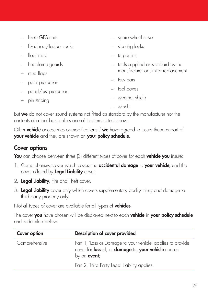- fixed GPS units
- fixed roof/ladder racks
- floor mats
- headlamp guards
- mud flaps
- paint protection
- panel/rust protection
- spare wheel cover
- steering locks
- tarpaulins
- tools supplied as standard by the manufacturer or similar replacement
- tow bars
- tool boxes
- weather shield
- winch.

But we do not cover sound systems not fitted as standard by the manufacturer nor the contents of a tool box, unless one of the items listed above.

Other **vehicle** accessories or modifications if we have agreed to insure them as part of your vehicle and they are shown on your policy schedule.

#### Cover options

You can choose between three (3) different types of cover for each vehicle you insure:

- 1. Comprehensive cover which covers the **accidental damage** to **your vehicle**, and the cover offered by Legal Liability cover.
- 2. Legal Liability, Fire and Theft cover.
- 3. Legal Liability cover only which covers supplementary bodily injury and damage to third party property only.

Not all types of cover are available for all types of vehicles.

The cover you have chosen will be displayed next to each vehicle in your policy schedule and is detailed below.

| Cover option  | Description of cover provided                                                                                                               |
|---------------|---------------------------------------------------------------------------------------------------------------------------------------------|
| Comprehensive | Part 1, 'Loss or Damage to your vehicle' applies to provide<br>cover for loss of, or damage to, your vehicle caused<br>by an <b>event</b> ; |
|               | Part 2, Third Party Legal Liability applies.                                                                                                |

– pin striping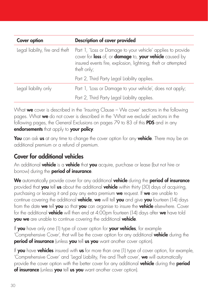| Cover option                    | Description of cover provided                                                                                                                                                                          |
|---------------------------------|--------------------------------------------------------------------------------------------------------------------------------------------------------------------------------------------------------|
| Legal liability, fire and theft | Part 1, `Loss or Damage to your vehicle' applies to provide<br>cover for loss of, or damage to, your vehicle caused by<br>insured events fire, explosion, lightning, theft or attempted<br>theft only; |
|                                 | Part 2, Third Party Legal Liability applies.                                                                                                                                                           |
| Legal liability only            | Part 1, 'Loss or Damage to your vehicle', does not apply;                                                                                                                                              |
|                                 | Part 2, Third Party Legal Liability applies.                                                                                                                                                           |

What we cover is described in the 'Insuring Clause – We cover' sections in the following pages. What we do not cover is described in the 'What we exclude' sections in the following pages, the General Exclusions on pages 79 to 83 of this PDS and in any endorsements that apply to your policy.

You can ask us at any time to change the cover option for any vehicle. There may be an additional premium or a refund of premium.

#### Cover for additional vehicles

An additional **vehicle** is a **vehicle** that you acquire, purchase or lease (but not hire or borrow) during the **period of insurance**.

We automatically provide cover for any additional vehicle during the period of insurance provided that you tell us about the additional vehicle within thirty (30) days of acquiring, purchasing or leasing it and pay any extra premium we request. If we are unable to continue covering the additional **vehicle, we** will tell you and give you fourteen (14) days from the date we tell you so that you can organise to insure the vehicle elsewhere. Cover for the additional **vehicle** will then end at 4:00pm fourteen (14) days after we have told you we are unable to continue covering the additional vehicle.

If you have only one (1) type of cover option for your vehicles, for example 'Comprehensive Cover', that will be the cover option for any additional vehicle during the **period of insurance** (unless you tell us you want another cover option).

If you have vehicles insured with us for more than one (1) type of cover option, for example, 'Comprehensive Cover' and 'Legal Liability, Fire and Theft cover', we will automatically provide the cover option with the better cover for any additional **vehicle** during the **period** of insurance (unless you tell us you want another cover option).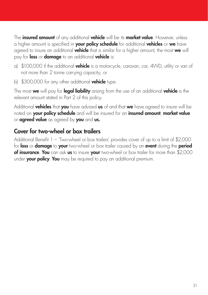The **insured amount** of any additional **vehicle** will be its **market value**. However, unless a higher amount is specified in your policy schedule for additional vehicles or we have agreed to insure an additional vehicle that is similar for a higher amount, the most we will pay for **loss** or **damage** to an additional vehicle is:

- a) \$100,000 if the additional **vehicle** is a motorcycle, caravan, car, 4WD, utility or van of not more than 2 tonne carrying capacity; or
- b)  $$300,000$  for any other additional **vehicle** type.

The most we will pay for legal liability arising from the use of an additional vehicle is the relevant amount stated in Part 2 of this policy.

Additional **vehicles** that you have advised us of and that we have agreed to insure will be noted on your policy schedule and will be insured for an insured amount, market value or **agreed value** as agreed by you and us.

#### Cover for two-wheel or box trailers

Additional Benefit 1 – 'Two-wheel or box trailers' provides cover of up to a limit of \$2,000 for **loss** or **damage** to **your** two-wheel or box trailer caused by an **event** during the **period** of insurance. You can ask us to insure your two-wheel or box trailer for more than \$2,000 under your policy. You may be required to pay an additional premium.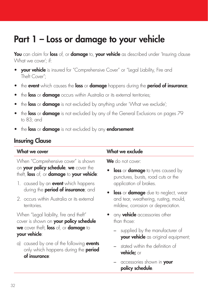# <span id="page-31-0"></span>Part 1 – Loss or damage to your vehicle

You can claim for loss of, or damage to, your vehicle as described under 'Insuring clause What we cover': if:

- your vehicle is insured for "Comprehensive Cover" or "Legal Liability, Fire and Theft Cover";
- the event which causes the loss or damage happens during the period of insurance;
- the **loss** or **damage** occurs within Australia or its external territories;
- the loss or damage is not excluded by anything under 'What we exclude';
- the loss or damage is not excluded by any of the General Exclusions on pages 79 to 83; and
- the loss or damage is not excluded by any endorsement.

#### Insuring Clause

| What we cover                                                                                                                              | What we exclude                                                                                      |
|--------------------------------------------------------------------------------------------------------------------------------------------|------------------------------------------------------------------------------------------------------|
| When "Comprehensive cover" is shown<br><b>We</b> do not cover:                                                                             |                                                                                                      |
| on your policy schedule, we cover the<br>theft, loss of, or damage to your vehicle:                                                        | • loss or damage to tyres caused by<br>punctures, bursts, road cuts or the<br>application of brakes. |
| 1. caused by an <b>event</b> which happens<br>during the <b>period of insurance</b> ; and                                                  |                                                                                                      |
|                                                                                                                                            | • loss or damage due to neglect, wear                                                                |
| 2. occurs within Australia or its external<br>territories.                                                                                 | and tear, weathering, rusting, mould,<br>mildew, corrosion or depreciation.                          |
| When "Legal liability, fire and theft"<br>cover is shown on your policy schedule<br>we cover theft, loss of, or damage to<br>your vehicle: | • any <b>vehicle</b> accessories other<br>than those:                                                |
|                                                                                                                                            | supplied by the manufacturer of<br>your vehicle as original equipment;                               |
| a) caused by one of the following events<br>only which happens during the <b>period</b><br>of insurance:                                   | stated within the definition of<br>vehicle; or                                                       |
|                                                                                                                                            | accessories shown in your<br>policy schedule.                                                        |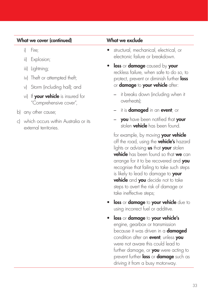#### What we cover (continued) What we exclude

- i) Fire;
- ii) Explosion;
- iii) Lightning;
- iv) Theft or attempted theft;
- v) Storm (including hail); and
- vi) If **your vehicle** is insured for "Comprehensive cover",
- b) any other cause;
- c) which occurs within Australia or its external territories.
- structural, mechanical, electrical, or electronic failure or breakdown.
- loss or damage caused by your reckless failure, when safe to do so, to protect, prevent or diminish further **loss** or damage to your vehicle after:
	- it breaks down (including when it overheats);
	- it is **damaged** in an **event**; or
	- you have been notified that your stolen **vehicle** has been found

for example, by moving your vehicle off the road, using the **vehicle's** hazard lights or advising **us** that **your** stolen **vehicle** has been found so that we can arrange for it to be recovered and **you** recognise that failing to take such steps is likely to lead to damage to your vehicle and you decide not to take steps to avert the risk of damage or take ineffective steps;

- loss or damage to your vehicle due to using incorrect fuel or additive.
- loss or damage to your vehicle's engine, gearbox or transmission because it was driven in a **damaged** condition after an **event**, unless **you** were not aware this could lead to further damage, or you were acting to prevent further loss or damage such as driving it from a busy motorway.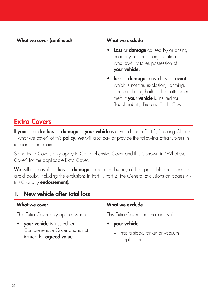<span id="page-33-0"></span>

| What we cover (continued) | What we exclude                                                                                                                                                                                                    |
|---------------------------|--------------------------------------------------------------------------------------------------------------------------------------------------------------------------------------------------------------------|
|                           | • Loss or <b>damage</b> caused by or arising<br>from any person or organisation<br>who lawfully takes possession of<br>your vehicle.                                                                               |
|                           | • loss or damage caused by an event<br>which is not fire, explosion, lightning,<br>storm (including hail), theft or attempted<br>theft, if your vehicle is insured for<br>'Legal Liability, Fire and Theft' Cover. |
|                           |                                                                                                                                                                                                                    |

## Extra Covers

If your claim for loss or damage to your vehicle is covered under Part 1, "Insuring Clause – what we cover" of this **policy, we** will also pay or provide the following Extra Covers in relation to that claim.

Some Extra Covers only apply to Comprehensive Cover and this is shown in "What we Cover" for the applicable Extra Cover.

We will not pay if the loss or damage is excluded by any of the applicable exclusions (to avoid doubt, including the exclusions in Part 1, Part 2, the General Exclusions on pages 79 to 83 or any **endorsement**).

#### 1. New vehicle after total loss

| What we cover                                                                                        | What we exclude                                                    |
|------------------------------------------------------------------------------------------------------|--------------------------------------------------------------------|
| This Extra Cover only applies when:                                                                  | This Extra Cover does not apply if:                                |
| • your vehicle is insured for<br>Comprehensive Cover and is not<br>insured for <b>agreed value</b> . | • your vehicle:<br>- has a stock, tanker or vacuum<br>application; |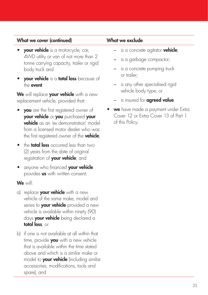#### What we cover (continued) What we exclude

- your vehicle is a motorcycle, car, 4WD utility or van of not more than 2 tonne carrying capacity, trailer or rigid body truck and
- **your vehicle** is a **total loss** because of the event.

We will replace your vehicle with a new replacement vehicle, provided that:

- **you** are the first registered owner of your vehicle or you purchased your vehicle as an 'ex demonstration' model from a licensed motor dealer who was the first registered owner of the **vehicle**;
- the **total loss** occurred less than two (2) years from the date of original registration of your vehicle; and
- anyone who financed **your vehicle** provides **us** with written consent;

We will:

- a) replace your vehicle with a new vehicle of the same make, model and series to your vehicle provided a new vehicle is available within ninety (90) days **your vehicle** being declared a total loss; or
- b) if one is not available at all within that time, provide you with a new vehicle that is available within the time stated above and which is a similar make or model to your vehicle (including similar accessories, modifications, tools and spare); and

- is a concrete agitator **vehicle**;
- is a garbage compactor;
- is a concrete pumping truck or trailer;
- is any other specialised rigid vehicle body type; or
- is insured for **agreed value**.
- we have made a payment under Extra Cover 12 or Extra Cover 13 of Part 1 of this Policy.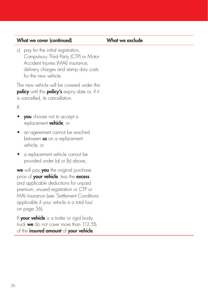#### What we cover (continued) What we exclude

c) pay for the initial registration, Compulsory Third Party (CTP) or Motor Accident Injuries (MAI) insurance, delivery charges and stamp duty costs for the new vehicle.

The new vehicle will be covered under this policy until this policy's expiry date or, if it is cancelled, its cancellation.

If:

- you choose not to accept a replacement **vehicle**; or
- an agreement cannot be reached between **us** on a replacement vehicle; or
- a replacement vehicle cannot be provided under (a) or (b) above,

we will pay you the original purchase price of your vehicle, less the excess and applicable deductions for unpaid premium, unused registration or CTP or MAI insurance (see 'Settlement Conditions applicable if your vehicle is a total loss' on page 56).

If **your vehicle** is a trailer or rigid body truck **we** do not cover more than 112.5% of the insured amount of your vehicle.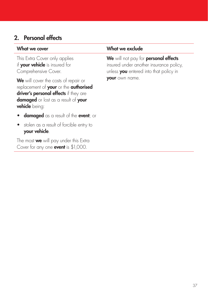# 2. Personal effects

This Extra Cover only applies if your vehicle is insured for Comprehensive Cover.

We will cover the costs of repair or replacement of your or the authorised driver's personal effects if they are damaged or lost as a result of your vehicle being:

- **damaged** as a result of the event; or
- stolen as a result of forcible entry to your vehicle.

The most we will pay under this Extra Cover for any one **event** is \$1,000.

### What we cover **What we exclude**

We will not pay for **personal effects** insured under another insurance policy, unless you entered into that policy in your own name.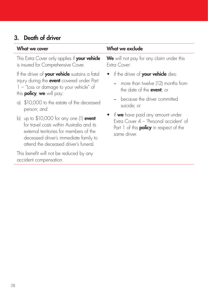# 3. Death of driver

|    | What we cover                                                                                                                                                                                                      | What we exclude                                                                                                                                     |
|----|--------------------------------------------------------------------------------------------------------------------------------------------------------------------------------------------------------------------|-----------------------------------------------------------------------------------------------------------------------------------------------------|
|    | This Extra Cover only applies if your vehicle<br>is insured for Comprehensive Cover.                                                                                                                               | We will not pay for any claim under this<br>Extra Cover:                                                                                            |
|    | If the driver of your vehicle sustains a fatal                                                                                                                                                                     | • if the driver of your vehicle dies:                                                                                                               |
|    | injury during the event covered under Part<br>1 - "Loss or damage to your vehicle" of<br>this <b>policy, we</b> will pay:                                                                                          | more than twelve (12) months from<br>the date of the event; or                                                                                      |
| a) | \$10,000 to the estate of the deceased<br>person; and                                                                                                                                                              | because the driver committed<br>$\overline{\phantom{0}}$<br>suicide; or                                                                             |
|    | b) up to $$10,000$ for any one (1) event<br>for travel costs within Australia and its<br>external territories for members of the<br>deceased driver's immediate family to<br>attend the deceased driver's funeral. | if <b>we</b> have paid any amount under<br>Extra Cover 4 - 'Personal accident' of<br>Part 1 of this <b>policy</b> in respect of the<br>same driver. |
|    | This benefit will not be reduced by any<br>accident compensation.                                                                                                                                                  |                                                                                                                                                     |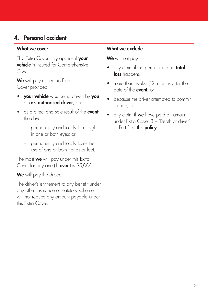# 4. Personal accident

This Extra Cover only applies if your vehicle is insured for Comprehensive Cover.

We will pay under this Extra Cover provided:

- your vehicle was being driven by you or any **authorised driver**; and
- as a direct and sole result of the **event** the driver:
	- permanently and totally loses sight in one or both eyes; or
	- permanently and totally loses the use of one or both hands or feet.

The most we will pay under this Extra Cover for any one (1) event is \$5,000.

We will pay the driver.

The driver's entitlement to any benefit under any other insurance or statutory scheme will not reduce any amount payable under this Extra Cover.

### What we cover **What we exclude**

We will not pay:

- any claim if the permanent and **total** loss happens:
- more than twelve (12) months after the date of the event; or
- because the driver attempted to commit suicide; or.
- any claim if **we** have paid an amount under Extra Cover 3 – 'Death of driver' of Part 1 of this **policy**.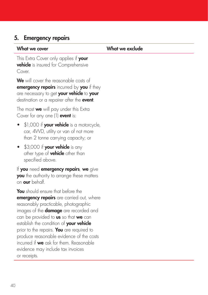# 5. Emergency repairs

What we cover **What we exclude** 

This Extra Cover only applies if your vehicle is insured for Comprehensive Cover.

We will cover the reasonable costs of emergency repairs incurred by you if they are necessary to get your vehicle to your destination or a repairer after the **event**.

The most **we** will pay under this Extra Cover for any one (1) **event** is:

- $$1,000$  if your vehicle is a motorcycle, car, 4WD, utility or van of not more than 2 tonne carrying capacity; or
- $$3,000$  if your vehicle is any other type of **vehicle** other than specified above.

If you need emergency repairs, we give you the authority to arrange these matters on our behalf.

You should ensure that before the emergency repairs are carried out, where reasonably practicable, photographic images of the **damage** are recorded and can be provided to **us** so that **we** can establish the condition of your vehicle prior to the repairs. You are required to produce reasonable evidence of the costs incurred if **we** ask for them. Reasonable evidence may include tax invoices or receipts.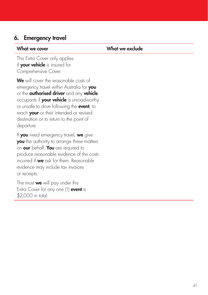# 6. Emergency travel

What we cover **What we exclude** 

This Extra Cover only applies if your vehicle is insured for Comprehensive Cover.

We will cover the reasonable costs of emergency travel within Australia for you or the **authorised driver** and any **vehicle** occupants if **your vehicle** is unroadworthy or unsafe to drive following the event, to reach **your** or their intended or revised destination or to return to the point of departure.

If you need emergency travel, we give you the authority to arrange these matters on our behalf. You are required to produce reasonable evidence of the costs incurred if we ask for them. Reasonable evidence may include tax invoices or receipts.

The most **we** will pay under this Extra Cover for any one (1) **event** is \$2,000 in total.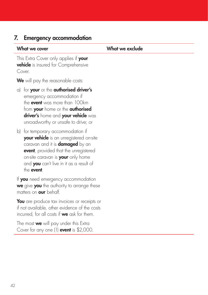## 7. Emergency accommodation

What we cover **What we exclude** 

This Extra Cover only applies if your vehicle is insured for Comprehensive Cover

We will pay the reasonable costs:

- a) for your or the authorised driver's emergency accommodation if the **event** was more than 100km from your home or the authorised driver's home and your vehicle was unroadworthy or unsafe to drive; or
- b) for temporary accommodation if your vehicle is an unregistered on-site caravan and it is **damaged** by an event, provided that the unregistered on-site caravan is **your** only home and **you** can't live in it as a result of the event.

If you need emergency accommodation we give you the authority to arrange these matters on **our** behalf.

You are produce tax invoices or receipts or if not available, other evidence of the costs incurred, for all costs if **we** ask for them.

The most **we** will pay under this Extra Cover for any one (1) **event** is \$2,000.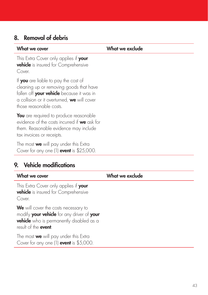# 8. Removal of debris

What we cover **What we exclude** 

This Extra Cover only applies if your vehicle is insured for Comprehensive Cover.

If you are liable to pay the cost of cleaning up or removing goods that have fallen off your vehicle because it was in a collision or it overturned, we will cover those reasonable costs.

You are required to produce reasonable evidence of the costs incurred if we ask for them. Reasonable evidence may include tax invoices or receipts.

The most we will pay under this Extra Cover for any one (1) **event** is \$25,000.

# 9. Vehicle modifications

| What we cover                                                                                                                                                         | What we exclude |
|-----------------------------------------------------------------------------------------------------------------------------------------------------------------------|-----------------|
| This Extra Cover only applies if your<br><b>vehicle</b> is insured for Comprehensive<br>Cover.                                                                        |                 |
| We will cover the costs necessary to<br>modify your vehicle for any driver of your<br><b>vehicle</b> who is permanently disabled as a<br>result of the <b>event</b> . |                 |
| The most we will pay under this Extra<br>Cover for any one (1) event is \$5,000.                                                                                      |                 |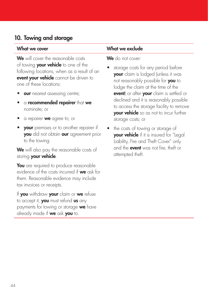# 10. Towing and storage

We will cover the reasonable costs of towing your vehicle to one of the following locations, when as a result of an event your vehicle cannot be driven to one of these locations:

- our nearest assessing centre;
- a **recommended repairer** that we nominate; or
- a repairer **we** aaree to; or
- **your** premises or to another repairer if you did not obtain our agreement prior to the towing.

We will also pay the reasonable costs of storing your vehicle.

You are required to produce reasonable evidence of the costs incurred if we ask for them. Reasonable evidence may include tax invoices or receipts.

If you withdraw your claim or we refuse to accept it, you must refund us any payments for towing or storage we have already made if we ask you to.

### What we cover **What we exclude**

We do not cover:

- storage costs for any period before your claim is lodged (unless it was not reasonably possible for you to lodge the claim at the time of the event) or after your claim is settled or declined and it is reasonably possible to access the storage facility to remove **vour vehicle** so as not to incur further storage costs; or
- the costs of towing or storage of your vehicle if it is insured for "Legal Liability, Fire and Theft Cover" only and the **event** was not fire, theft or attempted theft.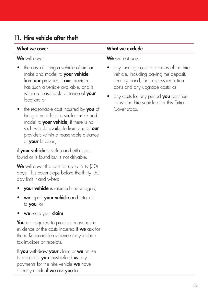# 11. Hire vehicle after theft

### We will cover

- the cost of hiring a vehicle of similar make and model to your vehicle from **our** provider, if **our** provider has such a vehicle available, and is within a reasonable distance of your location; or
- the reasonable cost incurred by you of hiring a vehicle of a similar make and model to **your vehicle**, if there is no such vehicle available from one of our providers within a reasonable distance of **your** location,

if your vehicle is stolen and either not found or is found but is not drivable.

We will cover this cost for up to thirty (30) days. This cover stops before the thirty (30) day limit if and when:

- your vehicle is returned undamaged;
- we repair your vehicle and return it to you; or
- we settle your claim

You are required to produce reasonable evidence of the costs incurred if we ask for them. Reasonable evidence may include tax invoices or receipts.

If you withdraw your claim or we refuse to accept it, you must refund us any payments for the hire vehicle we have already made if we ask you to.

### What we cover **What we exclude**

### We will not pay:

- any running costs and extras of the hire vehicle, including paying the deposit, security bond, fuel, excess reduction costs and any upgrade costs; or
- any costs for any period you continue to use the hire vehicle after this Extra Cover stops.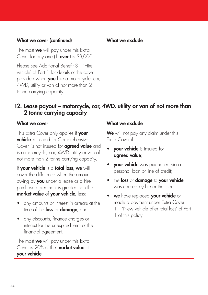The most **we** will pay under this Extra Cover for any one (1) **event** is \$3,000.

Please see Additional Benefit 3 – 'Hire vehicle' of Part 1 for details of the cover provided when you hire a motorcycle, car, 4WD, utility or van of not more than 2 tonne carrying capacity.

### 12. Lease payout – motorcycle, car, 4WD, utility or van of not more than 2 tonne carrying capacity

This Extra Cover only applies if your **vehicle** is insured for Comprehensive Cover, is not insured for **agreed value** and is a motorcycle, car, 4WD, utility or van of not more than 2 tonne carrying capacity.

If your vehicle is a total loss, we will cover the difference when the amount owing by **you** under a lease or a hire purchase agreement is greater than the market value of your vehicle, less:

- any amounts or interest in arrears at the time of the **loss** or **damage**; and
- any discounts, finance charges or interest for the unexpired term of the financial agreement.

The most **we** will pay under this Extra Cover is 20% of the **market value** of your vehicle.

### What we cover What we exclude

We will not pay any claim under this Extra Cover if:

- **your vehicle** is insured for agreed value;
- your vehicle was purchased via a personal loan or line of credit;
- the loss or damage to your vehicle was caused by fire or theft; or
- we have replaced your vehicle or made a payment under Extra Cover 1 – 'New vehicle after total loss' of Part 1 of this policy.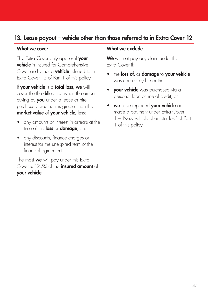# 13. Lease payout – vehicle other than those referred to in Extra Cover 12

This Extra Cover only applies if your **vehicle** is insured for Comprehensive Cover and is not a **vehicle** referred to in Extra Cover 12 of Part 1 of this policy.

If your vehicle is a total loss, we will cover the the difference when the amount owing by **you** under a lease or hire purchase agreement is greater than the market value of your vehicle, less:

- any amounts or interest in arrears at the time of the **loss** or **damage**; and
- any discounts, finance charges or interest for the unexpired term of the financial agreement.

The most **we** will pay under this Extra Cover is 12.5% of the insured amount of your vehicle.

### What we cover **What we exclude**

We will not pay any claim under this Extra Cover if:

- the loss of, or damage to your vehicle was caused by fire or theft;
- your vehicle was purchased via a personal loan or line of credit; or
- we have replaced your vehicle or made a payment under Extra Cover 1 – 'New vehicle after total loss' of Part 1 of this policy.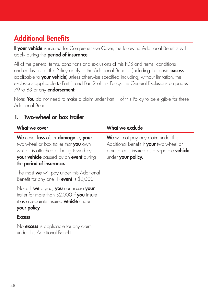# Additional Benefits

If **your vehicle** is insured for Comprehensive Cover, the following Additional Benefits will apply during the **period of insurance**.

All of the general terms, conditions and exclusions of this PDS and terms, conditions and exclusions of this Policy apply to the Additional Benefits (including the basic excess applicable to your vehicle) unless otherwise specified including, without limitation, the exclusions applicable to Part 1 and Part 2 of this Policy, the General Exclusions on pages 79 to 83 or any **endorsement**.

Note: You do not need to make a claim under Part 1 of this Policy to be eligible for these Additional Benefits.

# 1. Two-wheel or box trailer

| What we cover                                                                                                                                                                                 | What we exclude                                                                                                                                              |
|-----------------------------------------------------------------------------------------------------------------------------------------------------------------------------------------------|--------------------------------------------------------------------------------------------------------------------------------------------------------------|
| We cover loss of, or damage to, your<br>two-wheel or box trailer that you own<br>while it is attached or being towed by<br>your vehicle caused by an event during<br>the period of insurance. | <b>We</b> will not pay any claim under this<br>Additional Benefit if your two-wheel or<br>box trailer is insured as a separate vehicle<br>under your policy. |
| The most <b>we</b> will pay under this Additional<br>Benefit for any one (1) event is \$2,000.                                                                                                |                                                                                                                                                              |
| Note: If we agree, you can insure your<br>trailer for more than \$2,000 if you insure<br>it as a separate insured <b>vehicle</b> under<br>your policy.                                        |                                                                                                                                                              |
| <b>Excess</b>                                                                                                                                                                                 |                                                                                                                                                              |
| No <b>excess</b> is applicable for any claim<br>under this Additional Benefit.                                                                                                                |                                                                                                                                                              |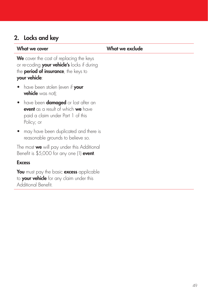# 2. Locks and key

What we cover **What we exclude** 

We cover the cost of replacing the keys or re-coding your vehicle's locks if during the **period of insurance**, the keys to your vehicle:

- have been stolen (even if your vehicle was not):
- have been **damaged** or lost after an event as a result of which we have paid a claim under Part 1 of this Policy; or
- may have been duplicated and there is reasonable grounds to believe so.

The most we will pay under this Additional Benefit is \$5,000 for any one (1) event.

### **Excess**

You must pay the basic excess applicable to **your vehicle** for any claim under this Additional Benefit.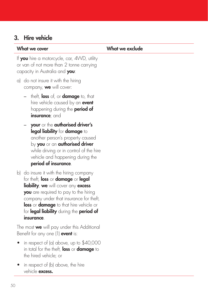# 3. Hire vehicle

What we cover **What we exclude** 

If you hire a motorcycle, car, 4WD, utility or van of not more than 2 tonne carrying capacity in Australia and you:

- a) do not insure it with the hiring company, we will cover:
	- theft, **loss** of, or **damage** to, that hire vehicle caused by an event happening during the **period of** insurance; and
	- your or the authorised driver's legal liability for damage to another person's property caused by you or an authorised driver while driving or in control of the hire vehicle and happening during the period of insurance.
- b) do insure it with the hiring company for theft, **loss** or **damage** or **legal** liability, we will cover any excess you are required to pay to the hiring company under that insurance for theft, loss or damage to that hire vehicle or for **legal liability** during the **period of** insurance.

The most we will pay under this Additional Benefit for any one (1) **event** is:

- in respect of (a) above, up to \$40,000 in total for the theft. loss or damage to the hired vehicle; or
- in respect of (b) above, the hire vehicle **excess.**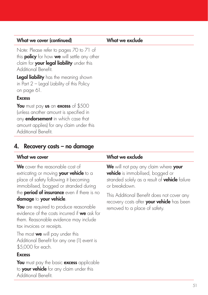Note: Please refer to pages 70 to 71 of this **policy** for how we will settle any other claim for your legal liability under this Additional Benefit.

Legal liability has the meaning shown in Part 2 – Legal Liability of this Policy on page 61.

### **Excess**

You must pay us an excess of \$500 (unless another amount is specified in any **endorsement** in which case that amount applies) for any claim under this Additional Benefit.

# 4. Recovery costs – no damage

Additional Benefit.

| What we cover                                                                                                                                                 | What we exclude                                                                                                                                                          |
|---------------------------------------------------------------------------------------------------------------------------------------------------------------|--------------------------------------------------------------------------------------------------------------------------------------------------------------------------|
| We cover the reasonable cost of<br>extricating or moving your vehicle to a<br>place of safety following it becoming<br>immobilised, bogged or stranded during | <b>We</b> will not pay any claim where <b>your</b><br><b>vehicle</b> is immobilised, bogged or<br>stranded solely as a result of <b>vehicle</b> failure<br>or breakdown. |
| the <b>period of insurance</b> even if there is no<br>damage to your vehicle.                                                                                 | This Additional Benefit does not cover any<br>recovery costs after <b>your vehicle</b> has been                                                                          |
| You are required to produce reasonable<br>evidence of the costs incurred if we ask for<br>them. Reasonable evidence may include<br>tax invoices or receipts.  | removed to a place of safety.                                                                                                                                            |
| The most <b>we</b> will pay under this<br>Additional Benefit for any one (1) event is<br>\$5,000 for each.                                                    |                                                                                                                                                                          |
| <b>Excess</b>                                                                                                                                                 |                                                                                                                                                                          |
| You must pay the basic excess applicable<br>to your vehicle for any claim under this                                                                          |                                                                                                                                                                          |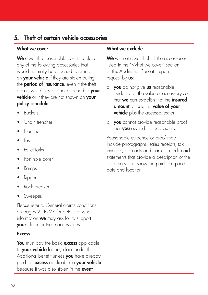# 5. Theft of certain vehicle accessories

| What we cover                           | What we exclude     |
|-----------------------------------------|---------------------|
| We cover the reasonable cost to replace | We will not cover t |

any of the following accessories that would normally be attached to or in or on your vehicle if they are stolen during the **period of insurance**, even if the theft occurs while they are not attached to your **vehicle** or if they are not shown on your policy schedule:

- Buckets
- Chain trencher
- Hammer
- Laser
- Pallet forks
- Post hole borer
- Ramps
- Ripper
- Rock breaker
- Sweeper.

Please refer to General claims conditions on pages 21 to 27 for details of what information **we** may ask for to support your claim for these accessories.

# Excess

You must pay the basic excess applicable to **your vehicle** for any claim under this Additional Benefit unless you have already paid the **excess** applicable to your vehicle because it was also stolen in the event.

We will not cover theft of the accessories listed in the "What we cover" section of this Additional Benefit if upon request by **us**:

- a) **you** do not give **us** reasonable evidence of the value of accessory so that we can establish that the **insured** amount reflects the value of your **vehicle** plus the accessories; or
- b) you cannot provide reasonable proof that you owned the accessories.

Reasonable evidence or proof may include photographs, sales receipts, tax invoices, accounts and bank or credit card statements that provide a description of the accessory and show the purchase price, date and location.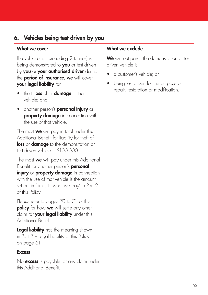# 6. Vehicles being test driven by you

If a vehicle (not exceeding 2 tonnes) is being demonstrated to you or test driven by you or your authorised driver during the **period of insurance**, we will cover your legal liability for:

- theft, loss of or damage to that vehicle; and
- another person's **personal injury** or **property damage** in connection with the use of that vehicle.

The most  $we$  will pay in total under this Additional Benefit for liability for theft of, **loss** or **damage** to the demonstration or test driven vehicle is \$100,000.

The most **we** will pay under this Additional Benefit for another person's **personal** injury or **property damage** in connection with the use of that vehicle is the amount set out in 'Limits to what we pay' in Part 2 of this Policy.

Please refer to pages 70 to 71 of this policy for how we will settle any other claim for **your legal liability** under this Additional Benefit.

Legal liability has the meaning shown in Part 2 – Legal Liability of this Policy on page 61.

### Excess

No **excess** is payable for any claim under this Additional Benefit.

### What we cover **What we exclude**

We will not pay if the demonstration or test driven vehicle is:

- a customer's vehicle; or
- being test driven for the purpose of repair, restoration or modification.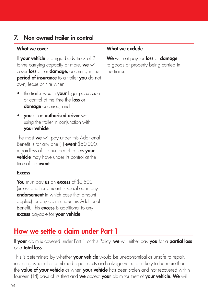# 7. Non-owned trailer in control

The most we will pay under this Additional Benefit is for any one (1) **event** \$50,000, regardless of the number of trailers your **vehicle** may have under its control at the

You must pay us an excess of \$2,500 (unless another amount is specified in any **endorsement** in which case that amount applies) for any claim under this Additional Benefit. This **excess** is additional to any excess payable for your vehicle.

time of the **event** 

Excess

| What we cover                                                                                                                                                                                                          | What we exclude                                                                             |
|------------------------------------------------------------------------------------------------------------------------------------------------------------------------------------------------------------------------|---------------------------------------------------------------------------------------------|
| If <b>your vehicle</b> is a rigid body truck of 2<br>tonne carrying capacity or more, we will<br>cover loss of, or damage, occurring in the<br>period of insurance to a trailer you do not<br>own, lease or hire when: | We will not pay for loss or damage<br>to goods or property being carried in<br>the trailer. |
| the trailer was in <b>your</b> legal possession<br>or control at the time the <b>loss</b> or<br><b>damage</b> occurred; and                                                                                            |                                                                                             |
| • you or an authorised driver was<br>using the trailer in conjunction with<br>your vehicle.                                                                                                                            |                                                                                             |

How we settle a claim under Part 1

If your claim is covered under Part 1 of this Policy, we will either pay you for a partial loss or a **total loss** 

This is determined by whether your vehicle would be uneconomical or unsafe to repair, including where the combined repair costs and salvage value are likely to be more than the value of your vehicle or when your vehicle has been stolen and not recovered within fourteen (14) days of its theft and we accept your claim for theft of your vehicle. We will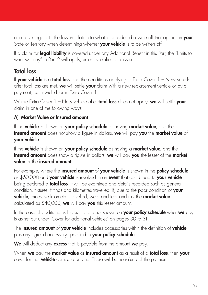also have regard to the law in relation to what is considered a write off that applies in **your** State or Territory when determining whether **your vehicle** is to be written off.

If a claim for **legal liability** is covered under any Additional Benefit in this Part, the "Limits to what we pay" in Part 2 will apply, unless specified otherwise.

# Total loss

If your vehicle is a total loss and the conditions applying to Extra Cover  $1 -$  New vehicle after total loss are met, we will settle your claim with a new replacement vehicle or by a payment, as provided for in Extra Cover 1.

Where Extra Cover  $1 -$  New vehicle after **total loss** does not apply, we will settle vour claim in one of the following ways:

### A) Market Value or Insured amount

If the **vehicle** is shown on your policy schedule as having market value, and the insured amount does not show a figure in dollars, we will pay you the market value of your vehicle.

If the **vehicle** is shown on **your policy schedule** as having a **market value**, and the insured amount does show a figure in dollars, we will pay you the lesser of the market value or the insured amount.

For example, where the *insured amount* of your vehicle is shown in the policy schedule as \$60,000 and your vehicle is involved in an event that could lead to your vehicle being declared a **total loss**, it will be examined and details recorded such as general condition, fixtures, fittings and kilometres travelled. If, due to the poor condition of your vehicle, excessive kilometres travelled, wear and tear and rust the market value is calculated as \$40,000, we will pay you this lesser amount.

In the case of additional vehicles that are not shown on your policy schedule what we pay is as set out under 'Cover for additional vehicles' on pages 30 to 31.

The **insured amount** of **your vehicle** includes accessories within the definition of **vehicle** plus any agreed accessory specified in your policy schedule.

We will deduct any excess that is payable from the amount we pay.

When we pay the market value or insured amount as a result of a total loss, then your cover for that **vehicle** comes to an end. There will be no refund of the premium.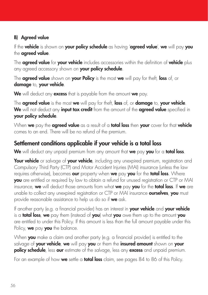### B) Agreed value

If the vehicle is shown on your policy schedule as having 'agreed value', we will pay you the **agreed value**.

The **agreed value** for your vehicle includes accessories within the definition of vehicle plus any agreed accessory shown on your policy schedule.

The **agreed value** shown on your Policy is the most we will pay for theft, loss of, or damage to, your vehicle.

We will deduct any excess that is payable from the amount we pay.

The **agreed value** is the most we will pay for theft, loss of, or damage to, your vehicle. We will not deduct any *input tax credit* from the amount of the agreed value specified in your policy schedule.

When we pay the agreed value as a result of a total loss then your cover for that vehicle comes to an end. There will be no refund of the premium.

# Settlement conditions applicable if your vehicle is a total loss

We will deduct any unpaid premium from any amount that we pay you for a total loss.

**Your vehicle** or salvage of **your vehicle**, including any unexpired premium, registration and Compulsory Third Party (CTP) and Motor Accident Injuries (MAI) insurance (unless the law requires otherwise), becomes our property when we pay you for the total loss. Where you are entitled or required by law to obtain a refund for unused registration or CTP or MAI insurance, we will deduct those amounts from what we pay you for the total loss. If we are unable to collect any unexpired registration or CTP or MAI insurance ourselves, you must provide reasonable assistance to help us do so if we ask.

If another party (e.g. a financial provider) has an interest in **your vehicle** and **your vehicle** is a **total loss, we** pay them (instead of you) what you owe them up to the amount you are entitled to under this Policy. If this amount is less than the full amount payable under this Policy, we pay you the balance.

When you make a claim and another party (e.g. a financial provider) is entitled to the salvage of your vehicle, we will pay you or them the insured amount shown on your **policy schedule**, less our estimate of the salvage, less any excess and unpaid premium.

For an example of how we settle a total loss claim, see pages 84 to 86 of this Policy.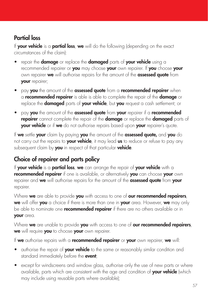# Partial loss

If your vehicle is a partial loss, we will do the following (depending on the exact circumstances of the claim):

- repair the **damage** or replace the **damaged** parts of your vehicle using a recommended repairer or you may choose your own repairer. If you choose your own repairer we will authorise repairs for the amount of the assessed quote from your repairer;
- pay you the amount of the assessed quote from a recommended repairer when a recommended repairer is able is able to complete the repair of the damage or replace the **damaged** parts of your vehicle, but you request a cash settlement; or
- pay you the amount of the assessed quote from your repairer if a recommended repairer cannot complete the repair of the damage or replace the damaged parts of your vehicle or if we do not authorise repairs based upon your repairer's quote.

If we settle your claim by paying you the amount of the assessed quote, and you do not carry out the repairs to your vehicle, it may lead us to reduce or refuse to pay any subsequent claim by you in respect of that particular vehicle.

# Choice of repairer and parts policy

If your vehicle is a partial loss, we can arrange the repair of your vehicle with a recommended repairer if one is available, or alternatively you can choose your own repairer and we will authorise repairs for the amount of the assessed quote from your repairer.

Where we are able to provide you with access to one of our recommended repairers, **we** will offer **you** a choice if there is more than one in **your** area. However, **we** may only be able to nominate one **recommended repairer** if there are no others available or in your area.

Where we are unable to provide you with access to one of our recommended repairers, we will require you to choose your own repairer.

If we authorise repairs with a recommended repairer or your own repairer, we will:

- authorise the repair of your vehicle to the same or reasonably similar condition and standard immediately before the event;
- except for windscreens and window glass, authorise only the use of new parts or where available, parts which are consistent with the age and condition of your vehicle (which may include using reusable parts where available);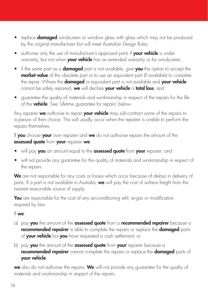- replace **damaged** windscreen or window glass with glass which may not be produced by the original manufacturer but will meet Australian Design Rules;
- authorise only the use of manufacturer's approved parts if your vehicle is under warranty, but not when **your vehicle** has an extended warranty or for windscreen;
- if the same part as a **damaged** part is not available, give you the option to accept the market value of the obsolete part or to use an equivalent part (if available) to complete the repair. Where the **damaged** or equivalent part is not available and your vehicle cannot be safely repaired, we will declare your vehicle a total loss; and
- guarantee the quality of materials and workmanship in respect of the repairs for the life of the vehicle. See 'Lifetime guarantee for repairs' below.

Any repairer we authorise to repair your vehicle may sub-contract some of the repairs to a person of their choice. This will usually occur when the repairer is unable to perform the repairs themselves.

If you choose your own repairer and we do not authorise repairs the amount of the assessed quote from your repairer we:

- will pay you an amount equal to the assessed quote from your repairer; and
- will not provide any guarantee for the quality of materials and workmanship in respect of the repairs.

We are not responsible for any costs or losses which occur because of delays in delivery of parts. If a part is not available in Australia, we will pay the cost of surface freight from the nearest reasonable source of supply.

You are responsible for the cost of any air-conditioning refit, re-gas or modification required by law.

 $\mathsf{If}\ \mathsf{we}\cdot$ 

- a) pay you the amount of the assessed quote from a recommended repairer because a recommended repairer is able to complete the repairs or replace the damaged parts of your vehicle but you have requested a cash settlement; or
- b) pay **you** the amount of the **assessed quote** from **your** repairer because a recommended repairer cannot complete the repairs or replace the damaged parts of your vehicle,

we also do not authorise the repairs. We will not provide any quarantee for the quality of materials and workmanship in respect of the repairs.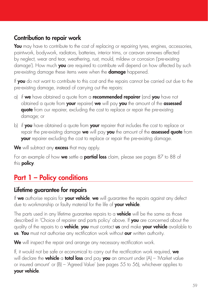# Contribution to repair work

You may have to contribute to the cost of replacing or repairing tyres, engines, accessories, paintwork, bodywork, radiators, batteries, interior trims, or caravan annexes affected by neglect, wear and tear, weathering, rust, mould, mildew or corrosion ('pre-existing damage'). How much **you** are required to contribute will depend on how affected by such pre-existing damage these items were when the **damage** happened.

If you do not want to contribute to this cost and the repairs cannot be carried out due to the pre-existing damage, instead of carrying out the repairs:

- a) if we have obtained a quote from a recommended repairer (and you have not obtained a quote from your repairer) we will pay you the amount of the assessed quote from our repairer, excluding the cost to replace or repair the pre-existing damage; or
- b) if you have obtained a quote from your repairer that includes the cost to replace or repair the pre-existing damage we will pay you the amount of the assessed quote from your repairer excluding the cost to replace or repair the pre-existing damage.

We will subtract any excess that may apply.

For an example of how we settle a partial loss claim, please see pages 87 to 88 of this **policy**.

# Part 1 – Policy conditions

# Lifetime guarantee for repairs

If we authorise repairs for your vehicle, we will guarantee the repairs against any defect due to workmanship or faulty material for the life of your vehicle.

The parts used in any lifetime guarantee repairs to a **vehicle** will be the same as those described in 'Choice of repairer and parts policy' above. If you are concerned about the quality of the repairs to a **vehicle, you** must contact **us** and make your vehicle available to us. You must not authorise any rectification work without our written authority.

We will inspect the repair and arrange any necessary rectification work.

If, it would not be safe or economical to carry out the rectification work required,  $we$ will declare the **vehicle a total loss** and pay **you** an amount under (A) – 'Market value or insured amount' or (B) – 'Agreed Value' (see pages 55 to 56), whichever applies to your vehicle.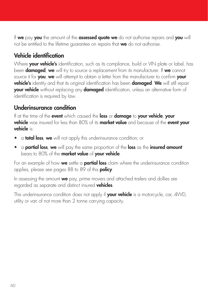If we pay you the amount of the assessed quote we do not authorise repairs and you will not be entitled to the lifetime guarantee on repairs that we do not authorise.

# Vehicle identification

Where **your vehicle's** identification, such as its compliance, build or VIN plate or label, has been **damaged, we** will try to source a replacement from its manufacturer. If we cannot source it for you, we will attempt to obtain a letter from the manufacturer to confirm your vehicle's identity and that its original identification has been damaged. We will still repair your vehicle without replacing any damaged identification, unless an alternative form of identification is required by law.

# Underinsurance condition

If at the time of the event which caused the loss or damage to your vehicle, your vehicle was insured for less than 80% of its market value and because of the event your vehicle is:

- a **total loss, we** will not apply this underinsurance condition; or
- a **partial loss, we** will pay the same proportion of the **loss** as the **insured amount** bears to 80% of the **market value** of your vehicle.

For an example of how **we** settle a **partial loss** claim where the underinsurance condition applies, please see pages 88 to 89 of this **policy**.

In assessing the amount we pay, prime movers and attached trailers and dollies are regarded as separate and distinct insured **vehicles**.

This underinsurance condition does not apply if your vehicle is a motorcycle, car, 4WD, utility or van of not more than 2 tonne carrying capacity.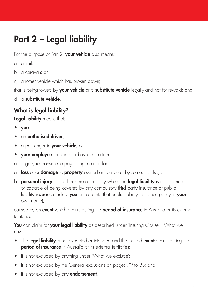# Part 2 – Legal liability

For the purpose of Part 2, your vehicle also means:

- a) a trailer;
- b) a caravan; or
- c) another vehicle which has broken down;

that is being towed by your vehicle or a substitute vehicle legally and not for reward; and

d) a substitute vehicle.

# What is legal liability?

Legal liability means that:

- you;
- an authorised driver:
- a passenger in your vehicle; or
- your employee, principal or business partner;

are legally responsible to pay compensation for:

- a) **loss** of or **damage** to **property** owned or controlled by someone else; or
- b) **personal injury** to another person (but only where the **legal liability** is not covered or capable of being covered by any compulsory third party insurance or public liability insurance, unless you entered into that public liability insurance policy in your own name),

caused by an event which occurs during the period of insurance in Australia or its external territories.

You can claim for your legal liability as described under 'Insuring Clause – What we cover' if:

- The **legal liability** is not expected or intended and the insured **event** occurs during the **period of insurance** in Australia or its external territories;
- It is not excluded by anything under 'What we exclude';
- It is not excluded by the General exclusions on pages 79 to 83; and
- It is not excluded by any **endorsement**.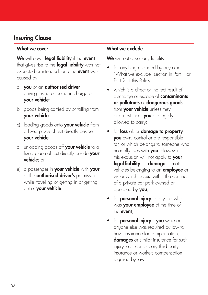# Insuring Clause

We will cover legal liability if the event that gives rise to the legal liability was not expected or intended, and the **event** was caused by:

- a) you or an authorised driver driving, using or being in charge of your vehicle;
- b) goods being carried by or falling from your vehicle;
- c) loading goods onto **your vehicle** from a fixed place of rest directly beside your vehicle;
- d) unloading goods off your vehicle to a fixed place of rest directly beside your vehicle; or
- e) a passenger in your vehicle with your or the **authorised driver's** permission while travelling or getting in or getting out of your vehicle.

### What we cover **What we exclude**

We will not cover any liability:

- for anything excluded by any other "What we exclude" section in Part 1 or Part 2 of this Policy;
- which is a direct or indirect result of discharge or escape of **contaminants** or pollutants or dangerous goods from **your vehicle** unless they are substances you are legally allowed to carry;
- for **loss** of, or **damage to property** you own, control or are responsible for, or which belongs to someone who normally lives with you. However, this exclusion will not apply to your legal liability for damage to motor vehicles belonging to an **employee** or visitor which occurs within the confines of a private car park owned or operated by you;
- for **personal injury** to anyone who was **your employee** at the time of the event;
- for **personal injury** if you were or anyone else was required by law to have insurance for compensation, **damages** or similar insurance for such injury (e.g. compulsory third party insurance or workers compensation required by law);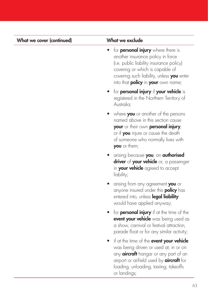- for **personal injury** where there is another insurance policy in force (i.e. public liability insurance policy) covering or which is capable of covering such liability, unless you enter into that **policy** in your own name;
- for **personal injury** if your vehicle is registered in the Northern Territory of Australia;
- where **you** or another of the persons named above in this section cause your or their own personal injury, or if **you** injure or cause the death of someone who normally lives with **you** or them:
- arising because you, an authorised driver of your vehicle or, a passenger in your vehicle agreed to accept liability;
- arising from any agreement you or anyone insured under this **policy** has entered into, unless **legal liability** would have applied anyway;
- for **personal injury** if at the time of the **event your vehicle** was being used as a show, carnival or festival attraction, parade float or for any similar activity;
- if at the time of the **event your vehicle** was being driven or used at, in or on any **aircraft** hangar or any part of an airport or airfield used by **aircraft** for loading, unloading, taxiing, takeoffs or landings;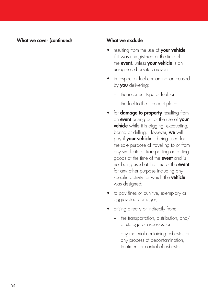- resulting from the use of your vehicle if it was unregistered at the time of the **event**, unless your vehicle is an unregistered on-site caravan;
- in respect of fuel contamination caused by you delivering:
	- the incorrect type of fuel; or
	- the fuel to the incorrect place.
- for **damage to property** resulting from an **event** arising out of the use of your **vehicle** while it is digging, excavating, boring or drilling. However, we will pay if **your vehicle** is being used for the sole purpose of travelling to or from any work site or transporting or carting goods at the time of the **event** and is not being used at the time of the event for any other purpose including any specific activity for which the **vehicle** was desianed:
- to pay fines or punitive, exemplary or aggravated damages;
- arising directly or indirectly from:
	- the transportation, distribution, and/ or storage of asbestos; or
	- any material containing asbestos or any process of decontamination, treatment or control of asbestos.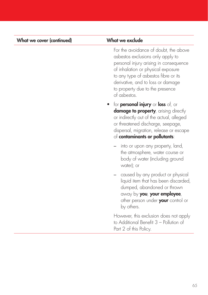For the avoidance of doubt, the above asbestos exclusions only apply to personal injury arising in consequence of inhalation or physical exposure to any type of asbestos fibre or its derivative, and to loss or damage to property due to the presence of asbestos.

- for **personal injury** or **loss** of, or damage to property, arising directly or indirectly out of the actual, alleged or threatened discharge, seepage, dispersal, migration, release or escape of contaminants or pollutants:
	- into or upon any property, land, the atmosphere, water course or body of water (including ground water); or
	- caused by any product or physical liquid item that has been discarded, dumped, abandoned or thrown away by you, your employee, other person under your control or by others.

However, this exclusion does not apply to Additional Benefit 3 – Pollution of Part 2 of this Policy.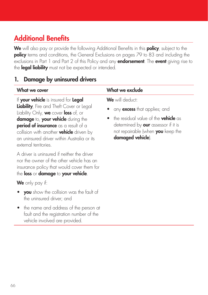# Additional Benefits

We will also pay or provide the following Additional Benefits in this policy, subject to the policy terms and conditions, the General Exclusions on pages 79 to 83 and including the exclusions in Part 1 and Part 2 of this Policy and any **endorsement**. The event giving rise to the **legal liability** must not be expected or intended.

# 1. Damage by uninsured drivers

fault and the registration number of the

vehicle involved are provided.

| What we cover                                                                                                                                                                                                                                                                                                                     | What we exclude                                                                                                                                                                                                               |
|-----------------------------------------------------------------------------------------------------------------------------------------------------------------------------------------------------------------------------------------------------------------------------------------------------------------------------------|-------------------------------------------------------------------------------------------------------------------------------------------------------------------------------------------------------------------------------|
| If your vehicle is insured for Legal<br>Liability, Fire and Theft Cover or Legal<br>Liability Only, we cover loss of, or<br>damage to, your vehicle during the<br>period of insurance as a result of a<br>collision with another <b>vehicle</b> driven by<br>an uninsured driver within Australia or its<br>external territories. | <b>We</b> will deduct:<br>any <b>excess</b> that applies; and<br>• the residual value of the <b>vehicle</b> as<br>determined by <b>our</b> assessor if it is<br>not repairable (when <b>you</b> keep the<br>damaged vehicle). |
| A driver is uninsured if neither the driver<br>nor the owner of the other vehicle has an<br>insurance policy that would cover them for<br>the loss or damage to your vehicle.                                                                                                                                                     |                                                                                                                                                                                                                               |
| We only pay it:                                                                                                                                                                                                                                                                                                                   |                                                                                                                                                                                                                               |
| • you show the collision was the fault of<br>the uninsured driver; and                                                                                                                                                                                                                                                            |                                                                                                                                                                                                                               |
| • the name and address of the person at                                                                                                                                                                                                                                                                                           |                                                                                                                                                                                                                               |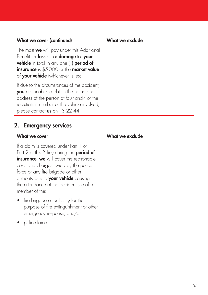The most **we** will pay under this Additional Benefit for **loss** of, or **damage** to, your vehicle in total in any one (1) period of insurance is \$5,000 or the market value of **your vehicle** (whichever is less).

If due to the circumstances of the accident, you are unable to obtain the name and address of the person at fault and/ or the registration number of the vehicle involved, please contact us on 13 22 44.

### 2. Emergency services

| What we cover |  |
|---------------|--|
|---------------|--|

If a claim is covered under Part 1 or Part 2 of this Policy during the **period of** insurance, we will cover the reasonable costs and charges levied by the police force or any fire brigade or other authority due to your vehicle causing the attendance at the accident site of a member of the:

- fire brigade or authority for the purpose of fire extinguishment or other emergency response; and/or
- police force.

What we exclude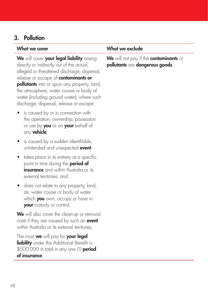# 3. Pollution

We will cover your legal liability arising directly or indirectly out of the actual, alleged or threatened discharge, dispersal, release or escape of **contaminants or** pollutants into or upon any property, land, the atmosphere, water course or body of water (including ground water), where such discharge, dispersal, release or escape:

- is caused by or in connection with the operation, ownership, possession or use by **you** or on **your** behalf of any **vehicle**;
- is caused by a sudden identifiable, unintended and unexpected **event**;
- takes place in its entirety at a specific point in time during the **period of** insurance and within Australia or its external territories; and
- does not relate to any property, land, air, water course or body of water which you own, occupy or have in your custody or control.

We will also cover the clean-up or removal costs if they are caused by such an event within Australia or its external territories.

The most we will pay for your legal liability under this Additional Benefit is \$500,000 in total in any one (1) period of insurance.

### What we cover **What we exclude**

We will not pay if the contaminants or pollutants are dangerous goods.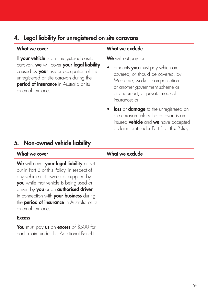# 4. Legal liability for unregistered on-site caravans

| What we cover                                                                                                                                                                                                                                      | What we exclude                                                                                                                                                                              |  |
|----------------------------------------------------------------------------------------------------------------------------------------------------------------------------------------------------------------------------------------------------|----------------------------------------------------------------------------------------------------------------------------------------------------------------------------------------------|--|
| If your vehicle is an unregistered onsite<br>caravan, we will cover your legal liability<br>caused by your use or occupation of the<br>unregistered on-site caravan during the<br>period of insurance in Australia or its<br>external territories. | <b>We</b> will not pay for:                                                                                                                                                                  |  |
|                                                                                                                                                                                                                                                    | amounts you must pay which are<br>covered, or should be covered, by<br>Medicare, workers compensation<br>or another government scheme or<br>arrangement, or private medical<br>insurance; or |  |
|                                                                                                                                                                                                                                                    | <b>loss</b> or <b>damage</b> to the unregistered on-<br>site caravan unless the caravan is an<br>insured <b>vehicle</b> and we have accepted<br>a claim for it under Part 1 of this Policy.  |  |
| 5. Non-owned vehicle liability                                                                                                                                                                                                                     |                                                                                                                                                                                              |  |
| What we cover                                                                                                                                                                                                                                      | What we exclude                                                                                                                                                                              |  |
| We will cover your legal liability as set<br>out in Part 2 of this Policy, in respect of                                                                                                                                                           |                                                                                                                                                                                              |  |

any vehicle not owned or supplied by you while that vehicle is being used or driven by you or an authorised driver in connection with your business during the **period of insurance** in Australia or its external territories.

### **Excess**

You must pay us an excess of \$500 for each claim under this Additional Benefit.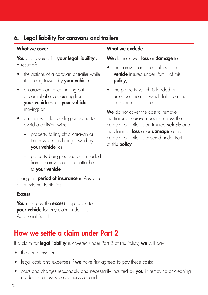# 6. Legal liability for caravans and trailers

| What we cover                                                                                              | What we exclude                                                                                                               |
|------------------------------------------------------------------------------------------------------------|-------------------------------------------------------------------------------------------------------------------------------|
| You are covered for your legal liability as<br>a result of:                                                | We do not cover loss or damage to:                                                                                            |
| the actions of a caravan or trailer while<br>it is being towed by <b>your vehicle</b> ;                    | the caravan or trailer unless it is a<br><b>vehicle</b> insured under Part 1 of this<br>policy; or                            |
| a caravan or trailer running out<br>of control after separating from<br>your vehicle while your vehicle is | • the property which is loaded or<br>unloaded from or which falls from the<br>caravan or the trailer.                         |
| moving; or                                                                                                 | We do not cover the cost to remove                                                                                            |
| another vehicle colliding or acting to<br>avoid a collision with:                                          | the trailer or caravan debris, unless the<br>caravan or trailer is an insured <b>vehicle</b> and                              |
| property falling off a caravan or<br>trailer while it is being towed by<br>your vehicle; or                | the claim for <b>loss</b> of or <b>damage</b> to the<br>caravan or trailer is covered under Part 1<br>of this <b>policy</b> . |
| property being loaded or unloaded<br>from a caravan or trailer attached<br>to your vehicle,                |                                                                                                                               |
| during the <b>period of insurance</b> in Australia                                                         |                                                                                                                               |

### Excess

You must pay the excess applicable to your vehicle for any claim under this Additional Benefit.

# How we settle a claim under Part 2

If a claim for legal liability is covered under Part 2 of this Policy, we will pay:

• the compensation;

or its external territories.

- legal costs and expenses if  $we$  have first agreed to pay these costs;
- costs and charges reasonably and necessarily incurred by you in removing or cleaning up debris, unless stated otherwise; and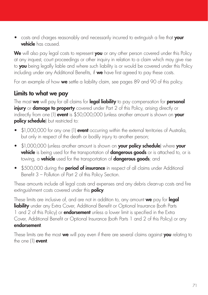• costs and charges reasonably and necessarily incurred to extinguish a fire that your vehicle has caused.

We will also pay legal costs to represent you or any other person covered under this Policy at any inquest, court proceedings or other inquiry in relation to a claim which may give rise to **you** being legally liable and where such liability is or would be covered under this Policy including under any Additional Benefits, if we have first agreed to pay these costs.

For an example of how we settle a liability claim, see pages 89 and 90 of this policy.

# Limits to what we pay

The most we will pay for all claims for legal liability to pay compensation for personal injury or **damage to property** covered under Part 2 of this Policy, arising directly or indirectly from one (1) event is \$50,000,000 (unless another amount is shown on your policy schedule) but restricted to:

- \$1,000,000 for any one (1) event occurring within the external territories of Australia, but only in respect of the death or bodily injury to another person;
- \$1,000,000 (unless another amount is shown on your policy schedule) where your **vehicle** is being used for the transportation of **dangerous goods** or is attached to, or is towing, a **vehicle** used for the transportation of **dangerous goods**; and
- \$500,000 during the **period of insurance** in respect of all claims under Additional Benefit 3 – Pollution of Part 2 of this Policy Section.

These amounts include all legal costs and expenses and any debris clean-up costs and fire extinguishment costs covered under this **policy**.

These limits are inclusive of, and are not in addition to, any amount we pay for legal liability under any Extra Cover, Additional Benefit or Optional Insurance (both Parts 1 and 2 of this Policy) or **endorsement** unless a lower limit is specified in the Extra Cover, Additional Benefit or Optional Insurance (both Parts 1 and 2 of this Policy) or any endorsement.

These limits are the most we will pay even if there are several claims against you relating to the one (1) **event**.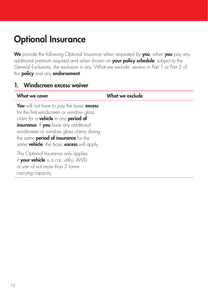# **Optional Insurance**

We provide the following Optional Insurance when requested by you, when you pay any additional premium required and when shown on your policy schedule, subject to the General Exclusions, the exclusion in any 'What we exclude' section in Part 1 or Part 2 of this **policy** and any **endorsement**.

### 1. Windscreen excess waiver

| What we cover                                                                                                                                                                                                                                                                                                                         | What we exclude |
|---------------------------------------------------------------------------------------------------------------------------------------------------------------------------------------------------------------------------------------------------------------------------------------------------------------------------------------|-----------------|
| You will not have to pay the basic excess<br>for the first windscreen or window glass<br>claim for a <b>vehicle</b> in any <b>period of</b><br>insurance. If you have any additional<br>windscreen or window glass claims during<br>the same <b>period of insurance</b> for the<br>same <b>vehicle</b> , the basic excess will apply. |                 |
| This Optional Insurance only applies<br>if your vehicle is a car, utility, 4VVD<br>or van of not more than 2 tonne<br>carrying capacity.                                                                                                                                                                                              |                 |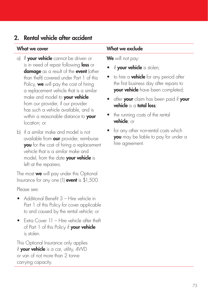# 2. Rental vehicle after accident

- a) If your vehicle cannot be driven or is in need of repair following **loss** or damage as a result of the event (other than theft) covered under Part 1 of this Policy, we will pay the cost of hiring a replacement vehicle that is a similar make and model to **your vehicle** from our provider, if our provider has such a vehicle available, and is within a reasonable distance to your location; or
- b) if a similar make and model is not available from our provider, reimburse you for the cost of hiring a replacement vehicle that is a similar make and model, from the date your vehicle is left at the repairers.

The most **we** will pay under this Optional Insurance for any one (1) **event** is \$1,500.

Please see:

- Additional Benefit 3 Hire vehicle in Part 1 of this Policy for cover applicable to and caused by the rental vehicle; or
- Extra Cover 11 Hire vehicle after theft of Part 1 of this Policy if your vehicle is stolen.

This Optional Insurance only applies if **your vehicle** is a car, utility, 4WD or van of not more than 2 tonne carrying capacity.

#### What we cover **What we exclude**

We will not pay:

- if **your vehicle** is stolen;
- to hire a **vehicle** for any period after the first business day after repairs to your vehicle have been completed;
- after **your** claim has been paid if **your** vehicle is a total loss;
- the running costs of the rental vehicle; or
- for any other non-rental costs which you may be liable to pay for under a hire agreement.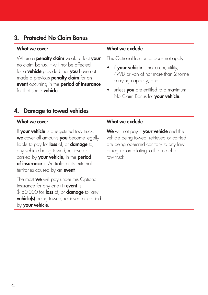# 3. Protected No Claim Bonus

| What we cover                                                                                                                                                                                                             | What we exclude                                                                                                                                     |
|---------------------------------------------------------------------------------------------------------------------------------------------------------------------------------------------------------------------------|-----------------------------------------------------------------------------------------------------------------------------------------------------|
| Where a <b>penalty claim</b> would affect your                                                                                                                                                                            | This Optional Insurance does not apply:                                                                                                             |
| no claim bonus, it will not be affected<br>for a <b>vehicle</b> provided that you have not<br>made a previous <b>penalty claim</b> for an<br>event occurring in the period of insurance<br>for that same <b>vehicle</b> . | • if your vehicle is not a car, utility,<br>4WD or van of not more than 2 tonne<br>carrying capacity; and<br>• unless you are entitled to a maximum |
|                                                                                                                                                                                                                           | No Claim Bonus for your vehicle.                                                                                                                    |

# 4. Damage to towed vehicles

| What we cover                                                                                                                                                                                                                                                                                                                     | What we exclude                                                                                                                                                                        |
|-----------------------------------------------------------------------------------------------------------------------------------------------------------------------------------------------------------------------------------------------------------------------------------------------------------------------------------|----------------------------------------------------------------------------------------------------------------------------------------------------------------------------------------|
| If your vehicle is a registered tow truck,<br>we cover all amounts you become legally<br>liable to pay for <b>loss</b> of, or <b>damage</b> to,<br>any vehicle being towed, retrieved or<br>carried by your vehicle, in the period<br><b>of insurance</b> in Australia or its external<br>territories caused by an <b>event</b> . | We will not pay if your vehicle and the<br>vehicle being towed, retrieved or carried<br>are being operated contrary to any law<br>or regulation relating to the use of a<br>tow truck. |
| The most <b>we</b> will pay under this Optional<br>Insurance for any one (1) event is<br>$$150,000$ for loss of, or damage to, any<br><b>vehicle(s)</b> being towed, retrieved or carried<br>by your vehicle.                                                                                                                     |                                                                                                                                                                                        |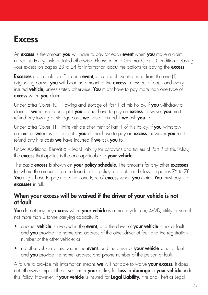# **Excess**

An **excess** is the amount you will have to pay for each event when you make a claim under this Policy, unless stated otherwise. Please refer to General Claims Condition – Paying your excess on pages 23 to 24 for information about the options for paying the excess.

**Excesses** are cumulative. For each **event**, or series of events arising from the one (1) originating cause, **you** will bear the amount of the **excess** in respect of each and every insured **vehicle**, unless stated otherwise. You might have to pay more than one type of excess when you claim.

Under Extra Cover  $10$  – Towing and storage of Part 1 of this Policy, if you withdraw a claim or we refuse to accept it you do not have to pay an excess, however you must refund any towing or storage costs we have incurred if we ask you to.

Under Extra Cover 11 – Hire vehicle after theft of Part 1 of this Policy, if you withdraw a claim or we refuse to accept it you do not have to pay an excess, however you must refund any hire costs we have incurred if we ask you to.

Under Additional Benefit 6 – Legal liability for caravans and trailers of Part 2 of this Policy, the excess that applies is the one applicable to your vehicle.

The basic **excess** is shown on **your policy schedule**. The amounts for any other **excesses** (or where the amounts can be found in this policy) are detailed below on pages 76 to 78. You might have to pay more than one type of excess when you claim. You must pay the excesses in full.

#### When your excess will be waived if the driver of your vehicle is not at fault

You do not pay any excess when your vehicle is a motorcycle, car, 4WD, utility or van of not more than 2 tonne carrying capacity if:

- another **vehicle** is involved in the event, and the driver of your vehicle is not at fault and you provide the name and address of the other driver at fault and the registration number of the other vehicle; or
- no other vehicle is involved in the event, and the driver of your vehicle is not at fault and you provide the name, address and phone number of the person at fault.

A failure to provide this information means we will not able to waive your excess. It does not otherwise impact the cover under your policy for loss or damage to your vehicle under this Policy. However, if your vehicle is insured for Legal Liability, Fire and Theft or Legal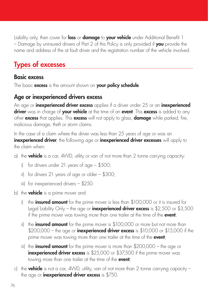Liability only, then cover for loss or damage to your vehicle under Additional Benefit 1 – Damage by uninsured drivers of Part 2 of this Policy is only provided if you provide the name and address of the at fault driver and the registration number of the vehicle involved.

# Types of excesses

### Basic excess

The basic excess is the amount shown on your policy schedule.

# Age or inexperienced drivers excess

An age or **inexperienced driver excess** applies if a driver under 25 or an *inexperienced* driver was in charge of your vehicle at the time of an event. This excess is added to any other **excess** that applies. This **excess** will not apply to glass, **damage** while parked, fire, malicious damage, theft or storm claims.

In the case of a claim where the driver was less than 25 years of age or was an inexperienced driver, the following age or inexperienced driver excesses will apply to the claim when:

- a) the **vehicle** is a car, 4WD, utility or van of not more than 2 tonne carrying capacity:
	- i) for drivers under 21 years of age \$500;
	- ii) for drivers 21 years of age or older \$300;
	- iii) for inexperienced drivers \$250.
- b) the **vehicle** is a prime mover and:
	- i) the **insured amount** for the prime mover is less than \$100,000 or it is insured for Legal Liability Only – the age or **inexperienced driver excess** is \$2,500 or \$3,500 if the prime mover was towing more than one trailer at the time of the event;
	- ii) the **insured amount** for the prime mover is \$100,000 or more but not more than \$200,000 – the age or **inexperienced driver excess** is \$10,000 or \$15,000 if the prime mover was towing more than one trailer at the time of the event;
	- iii) the **insured amount** for the prime mover is more than  $$200,000 -$  the age or inexperienced driver excess is \$25,000 or \$37,500 if the prime mover was towing more than one trailer at the time of the event;
- c) the **vehicle** is not a car, 4WD, utility, van of not more than 2 tonne carrying capacity the age or **inexperienced driver excess** is \$750.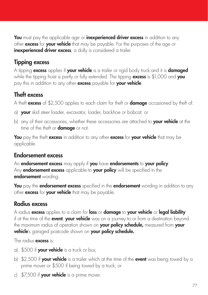You must pay the applicable age or *inexperienced driver excess* in addition to any other excess for your vehicle that may be payable. For the purposes of the age or inexperienced driver excess, a dolly is considered a trailer.

# Tipping excess

A tipping **excess** applies if **your vehicle** is a trailer or rigid body truck and it is **damaged** while the tipping hoist is partly or fully extended. The tipping **excess** is \$1,000 and you pay this in addition to any other excess payable for your vehicle.

# Theft excess

A theft excess of  $$2,500$  applies to each claim for theft or **damage** occasioned by theft of:

- a) your skid steer loader, excavator, loader, backhoe or bobcat; or
- b) any of their accessories, whether these accessories are attached to your vehicle at the time of the theft or **damage** or not.

You pay the theft excess in addition to any other excess for your vehicle that may be applicable.

# Endorsement excess

An endorsement excess may apply if you have endorsements to your policy. Any **endorsement excess** applicable to **your policy** will be specified in the endorsement wording.

You pay the endorsement excess specified in the endorsement wording in addition to any other excess for your vehicle that may be payable.

# Radius excess

A radius excess applies to a claim for loss or damage to your vehicle or legal liability if at the time of the event, your vehicle was on a journey to or from a destination beyond the maximum radius of operation shown on your policy schedule, measured from your vehicle's garaged postcode shown on your policy schedule.

The radius **excess** is:

- a)  $$500$  if **vour vehicle** is a truck or bus;
- b) \$2,500 if your vehicle is a trailer which at the time of the event was being towed by a prime mover or \$500 if being towed by a truck; or
- c)  $$7,500$  if your vehicle is a prime mover.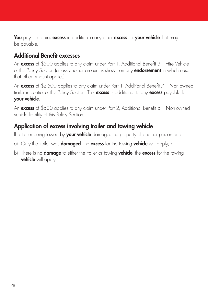You pay the radius excess in addition to any other excess for your vehicle that may be payable.

# Additional Benefit excesses

An **excess** of \$500 applies to any claim under Part 1, Additional Benefit  $3$  – Hire Vehicle of this Policy Section (unless another amount is shown on any **endorsement** in which case that other amount applies).

An **excess** of \$2,500 applies to any claim under Part 1, Additional Benefit  $7 -$  Non-owned trailer in control of this Policy Section. This **excess** is additional to any **excess** payable for your vehicle.

An **excess** of \$500 applies to any claim under Part 2, Additional Benefit  $5 -$  Non-owned vehicle liability of this Policy Section.

# Application of excess involving trailer and towing vehicle

If a trailer being towed by your vehicle damages the property of another person and:

- a) Only the trailer was **damaged**, the excess for the towing vehicle will apply; or
- b) There is no **damage** to either the trailer or towing **vehicle**, the **excess** for the towing vehicle will apply.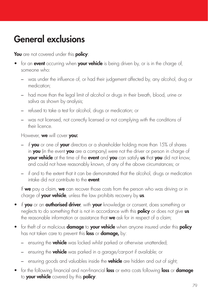# General exclusions

You are not covered under this policy:

- for an event occurring when your vehicle is being driven by, or is in the charge of, someone who:
	- was under the influence of, or had their judgement affected by, any alcohol, drug or medication;
	- had more than the legal limit of alcohol or drugs in their breath, blood, urine or saliva as shown by analysis;
	- refused to take a test for alcohol, drugs or medication; or
	- was not licensed, not correctly licensed or not complying with the conditions of their licence.

However, we will cover you:

- $-$  if you or one of your directors or a shareholder holding more than 15% of shares in you (in the event you are a company) were not the driver or person in charge of **your vehicle** at the time of the **event** and you can satisfy us that you did not know, and could not have reasonably known, of any of the above circumstances; or
- if and to the extent that it can be demonstrated that the alcohol, drugs or medication intake did not contribute to the **event**

If we pay a claim, we can recover those costs from the person who was driving or in charge of your vehicle, unless the law prohibits recovery by us.

- if you or an authorised driver, with your knowledge or consent, does something or neglects to do something that is not in accordance with this **policy** or does not give **us** the reasonable information or assistance that  $we$  ask for in respect of a claim;
- for theft of or malicious **damage** to your vehicle when anyone insured under this policy has not taken care to prevent this loss or damage, by:
	- ensuring the **vehicle** was locked whilst parked or otherwise unattended;
	- $-$  ensuring the **vehicle** was parked in a garage/car-port if available; or
	- $-$  ensuring goods and valuables inside the **vehicle** are hidden and out of sight;
- for the following financial and non-financial loss or extra costs following loss or damage to your vehicle covered by this policy: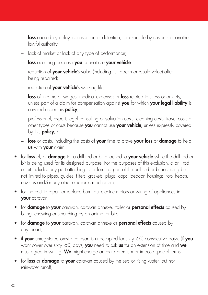- **loss** caused by delay, confiscation or detention, for example by customs or another lawful authority;
- lack of market or lack of any type of performance;
- loss occurring because you cannot use your vehicle;
- reduction of your vehicle's value (including its trade-in or resale value) after being repaired;
- reduction of your vehicle's working life;
- **loss** of income or wages, medical expenses or **loss** related to stress or anxiety, unless part of a claim for compensation against you for which your legal liability is covered under this **policy**;
- professional, expert, legal consulting or valuation costs, cleaning costs, travel costs or other types of costs because you cannot use your vehicle, unless expressly covered by this **policy**; or
- loss or costs, including the costs of your time to prove your loss or damage to help us with your claim.
- for loss of, or damage to, a drill rod or bit attached to your vehicle while the drill rod or bit is being used for its designed purpose. For the purposes of this exclusion, a drill rod or bit includes any part attaching to or forming part of the drill rod or bit including but not limited to pipes, guides, filters, gaskets, plugs, caps, beacon housings, tool heads, nozzles and/or any other electronic mechanism;
- for the cost to repair or replace burnt out electric motors or wiring of appliances in your caravan;
- for **damage** to your caravan, caravan annexe, trailer or personal effects caused by biting, chewing or scratching by an animal or bird;
- for **damage** to your caravan, caravan annexe or personal effects caused by any tenant;
- if your unregistered on-site caravan is unoccupied for sixty (60) consecutive days. (If you want cover over sixty (60) days, you need to ask us for an extension of time and we must agree in writing. We might charge an extra premium or impose special terms);
- for **loss** or **damage** to **your** caravan caused by the sea or rising water, but not rainwater runoff;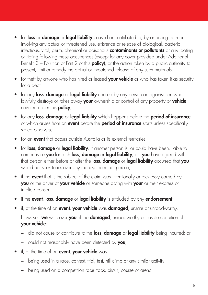- for loss or damage or legal liability caused or contributed to, by or arising from or involving any actual or threatened use, existence or release of biological, bacterial, infectious, viral, germ, chemical or poisonous **contaminants or pollutants** or any looting or rioting following these occurrences (except for any cover provided under Additional Benefit  $3$  – Pollution of Part 2 of this **policy**), or the action taken by a public authority to prevent, limit or remedy the actual or threatened release of any such materials;
- for theft by anyone who has hired or leased your vehicle or who has taken it as security for a debt;
- for any **loss, damage** or **legal liability** caused by any person or organisation who lawfully destroys or takes away your ownership or control of any property or vehicle covered under this **policy**;
- for any loss, damage or legal liability which happens before the period of insurance or which arises from an **event** before the **period of insurance** starts unless specifically stated otherwise;
- for an **event** that occurs outside Australia or its external territories:
- for loss, damage or legal liability, if another person is, or could have been, liable to compensate you for such loss, damage or legal liability, but you have agreed with that person either before or after the loss, damage or legal liability occurred that you would not seek to recover any moneys from that person;
- if the event that is the subject of the claim was intentionally or recklessly caused by you or the driver of your vehicle or someone acting with your or their express or implied consent;
- if the event, loss, damage or legal liability is excluded by any endorsement;
- if, at the time of an event, your vehicle was damaged, unsafe or unroadworthy.

However, we will cover you, if the damaged, unroadworthy or unsafe condition of your vehicle:

- did not cause or contribute to the loss, damage or legal liability being incurred; or
- could not reasonably have been detected by you;
- if, at the time of an event, your vehicle was:
	- being used in a race, contest, trial, test, hill climb or any similar activity;
	- being used on a competition race track, circuit, course or arena;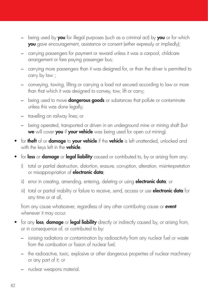- $-$  being used by you for illegal purposes (such as a criminal act) by you or for which you gave encouragement, assistance or consent (either expressly or impliedly);
- carrying passengers for payment or reward unless it was a carpool, childcare arrangement or fare paying passenger bus;
- carrying more passengers than it was designed for, or than the driver is permitted to carry by law ;
- conveying, towing, lifting or carrying a load not secured according to law or more than that which it was designed to convey, tow, lift or carry;
- $-$  being used to move **dangerous goods** or substances that pollute or contaminate unless this was done legally;
- travelling on railway lines; or
- being operated, transported or driven in an underground mine or mining shaft (but we will cover you if your vehicle was being used for open cut mining).
- for theft of or damage to your vehicle if the vehicle is left unattended, unlocked and with the keys left in the **vehicle**.
- for loss or damage or legal liability caused or contributed to, by or arising from any:
	- i) total or partial destruction, distortion, erasure, corruption, alteration, misinterpretation or misappropriation of **electronic data**;
	- ii) error in creating, amending, entering, deleting or using **electronic data**; or
	- iii) total or partial inability or failure to receive, send, access or use **electronic data** for any time or at all,

from any cause whatsoever, regardless of any other contributing cause or event whenever it may occur.

- for any loss, damage or legal liability directly or indirectly caused by, or arising from, or in consequence of, or contributed to by:
	- ionising radiations or contamination by radioactivity from any nuclear fuel or waste from the combustion or fission of nuclear fuel;
	- the radioactive, toxic, explosive or other dangerous properties of nuclear machinery or any part of it; or
	- nuclear weapons material.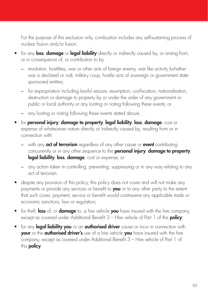For the purpose of this exclusion only, combustion includes any self-sustaining process of nuclear fission and/or fusion.

- for any loss, damage or legal liability directly or indirectly caused by, or arising from, or in consequence of, or contribution to by
	- revolution, hostilities, war or other acts of foreign enemy, war like activity (whether war is declared or not), military coup, hostile acts of sovereign or government statesponsored entities;
	- for expropriation including lawful seizure, resumption, confiscation, nationalisation, destruction or damage to property by or under the order of any government or public or local authority or any looting or rioting following these events; or
	- any looting or rioting following these events stated above;
- for personal injury, damage to property, legal liability, loss, damage, cost or expense of whatsoever nature directly or indirectly caused by, resulting from or in connection with:
	- $-$  with any **act of terrorism** regardless of any other cause or **event** contributing concurrently or in any other sequence to the **personal injury, damage to property**, legal liability, loss, damage, cost or expense; or
	- any action taken in controlling, preventing, suppressing or in any way relating to any act of terrorism.
- despite any provision of this policy, this policy does not cover and will not make any payments or provide any services or benefit to you or to any other party to the extent that such cover, payment, service or benefit would contravene any applicable trade or economic sanctions, law or regulation;
- for theft, loss of, or **damage** to, a hire vehicle you have insured with the hire company, except as covered under Additional Benefit  $3$  – Hire vehicle of Part 1 of this **policy**;
- for any legal liability you or an authorised driver cause or incur in connection with your or the authorised driver's use of a hire vehicle you have insured with the hire company, except as covered under Additional Benefit 3 – Hire vehicle of Part 1 of this **policy**.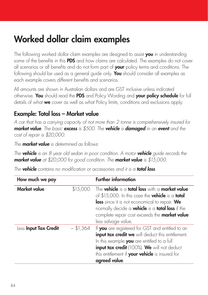# Worked dollar claim examples

The following worked dollar claim examples are designed to assist you in understanding some of the benefits in this **PDS** and how claims are calculated. The examples do not cover all scenarios or all benefits and do not form part of your policy terms and conditions. The following should be used as a general guide only. You should consider all examples as each example covers different benefits and scenarios.

All amounts are shown in Australian dollars and are GST inclusive unless indicated otherwise. You should read the PDS and Policy Wording and your policy schedule for full details of what we cover as well as what Policy limits, conditions and exclusions apply.

# Example: Total loss – Market value

*A car that has a carrying capacity of not more than 2 tonne is comprehensively insured for market value. The basic excess is \$500. The vehicle is damaged in an event and the cost of repair is \$20,000.* 

*The market value is determined as follows:*

*The vehicle is an 8 year old sedan in poor condition. A motor vehicle guide records the market value at \$20,000 for good condition. The market value is \$15,000.*

| The <b>vehicle</b> contains no modification or accessories and it is a <b>total loss</b> . |  |  |  |
|--------------------------------------------------------------------------------------------|--|--|--|
|--------------------------------------------------------------------------------------------|--|--|--|

| How much we pay       |             | <b>Further information</b>                                                                                                                                                                                                                                                                                                        |
|-----------------------|-------------|-----------------------------------------------------------------------------------------------------------------------------------------------------------------------------------------------------------------------------------------------------------------------------------------------------------------------------------|
| <b>Market value</b>   | \$15,000    | The <b>vehicle</b> is a <b>total loss</b> with a <b>market value</b><br>of \$15,000. In this case the <b>vehicle</b> is a <b>total</b><br>loss since it is not economical to repair. We<br>normally decide a <b>vehicle</b> is a <b>total loss</b> if the<br>complete repair cost exceeds the market value<br>less salvage value. |
| Less Input Tax Credit | $-$ \$1,364 | If you are registered for GST and entitled to an<br><b>input tax credit we</b> will deduct this entitlement.<br>In this example you are entitled to a full<br>input tax credit (100%). We will not deduct<br>this entitlement if your vehicle is insured for<br>agreed value.                                                     |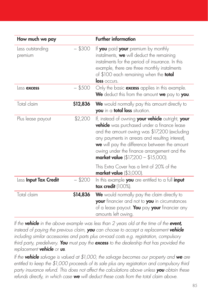| How much we pay             |           | <b>Further information</b>                                                                                                                                                                                                                                                                                                                                          |
|-----------------------------|-----------|---------------------------------------------------------------------------------------------------------------------------------------------------------------------------------------------------------------------------------------------------------------------------------------------------------------------------------------------------------------------|
| Less outstanding<br>premium | $-$ \$300 | If you paid your premium by monthly<br>instalments, we will deduct the remaining<br>instalments for the period of insurance. In this<br>example, there are three monthly instalments<br>of \$100 each remaining when the <b>total</b><br>loss occurs.                                                                                                               |
| Less <b>excess</b>          | $-$ \$500 | Only the basic <b>excess</b> applies in this example.<br>We deduct this from the amount we pay to you.                                                                                                                                                                                                                                                              |
| Total claim                 | \$12,836  | We would normally pay this amount directly to<br>you in a total loss situation.                                                                                                                                                                                                                                                                                     |
| Plus lease payout           | \$2,200   | If, instead of owning <b>your vehicle</b> outright, <b>your</b><br>vehicle was purchased under a finance lease<br>and the amount owing was \$17,200 (excluding<br>any payments in arrears and resulting interest),<br>we will pay the difference between the amount<br>owing under the finance arrangement and the<br><b>market value</b> $(\$17,200 - \$15,000)$ . |
|                             |           | This Extra Cover has a limit of 20% of the<br>market value (\$3,000).                                                                                                                                                                                                                                                                                               |
| Less Input Tax Credit       | $-$ \$200 | In this example you are entitled to a full input<br>tax credit $(100\%)$ .                                                                                                                                                                                                                                                                                          |
| Total claim                 | \$14,836  | We would normally pay the claim directly to<br>your financier and not to you in circumstances<br>of a lease payout. You pay your financier any<br>amounts left owing.                                                                                                                                                                                               |

*If the vehicle in the above example was less than 2 years old at the time of the event, instead of paying the previous claim, you can choose to accept a replacement vehicle including similar accessories and parts plus on-road costs e.g. registration, compulsory third party, predelivery. You must pay the excess to the dealership that has provided the replacement vehicle or us.*

*If the vehicle salvage is valued at \$1,000, the salvage becomes our property and we are entitled to keep the \$1,000 proceeds of its sale plus any registration and compulsory third party insurance refund. This does not affect the calculations above unless you obtain these refunds directly, in which case we will deduct these costs from the total claim above.*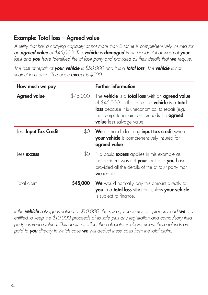# Example: Total loss – Agreed value

*A utility that has a carrying capacity of not more than 2 tonne is comprehensively insured for an agreed value of \$45,000. The vehicle is damaged in an accident that was not your fault and you have identified the at fault party and provided all their details that we require.*

*The cost of repair of your vehicle is \$50,000 and it is a total loss. The vehicle is not subject to finance. The basic excess is \$500.*

| How much we pay       |          | <b>Further information</b>                                                                                                                                                                                                                                                             |
|-----------------------|----------|----------------------------------------------------------------------------------------------------------------------------------------------------------------------------------------------------------------------------------------------------------------------------------------|
| <b>Agreed value</b>   | \$45,000 | The <b>vehicle</b> is a <b>total loss</b> with an <b>agreed value</b><br>of \$45,000. In this case, the <b>vehicle</b> is a <b>total</b><br>loss because it is uneconomical to repair (e.g.<br>the complete repair cost exceeds the <b>agreed</b><br><b>value</b> less salvage value). |
| Less Input Tax Credit | \$0      | We do not deduct any input tax credit when<br>your vehicle is comprehensively insured for<br>agreed value.                                                                                                                                                                             |
| Less excess           | \$0      | No basic <b>excess</b> applies in this example as<br>the accident was not your fault and you have<br>provided all the details of the at fault party that<br>we require.                                                                                                                |
| Total claim           | \$45,000 | We would normally pay this amount directly to<br>you in a total loss situation, unless your vehicle<br>is subject to finance.                                                                                                                                                          |

*If the vehicle salvage is valued at \$10,000, the salvage becomes our property and we are entitled to keep the \$10,000 proceeds of its sale plus any registration and compulsory third*  party insurance refund. This does not affect the calculations above unless these refunds are *paid to you directly in which case we will deduct these costs from the total claim.*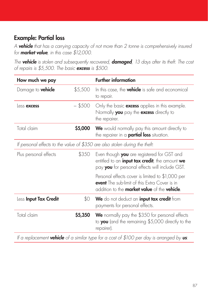# Example: Partial loss

*A vehicle that has a carrying capacity of not more than 2 tonne is comprehensively insured for market value, in this case \$12,000.* 

*The vehicle is stolen and subsequently recovered, damaged, 13 days after its theft. The cost of repairs is \$5,500. The basic excess is \$500.*

| How much we pay          |           | <b>Further information</b>                                                                                                                                              |
|--------------------------|-----------|-------------------------------------------------------------------------------------------------------------------------------------------------------------------------|
| Damage to <b>vehicle</b> | \$5,500   | In this case, the <b>vehicle</b> is safe and economical<br>to repair.                                                                                                   |
| Less excess              | $-$ \$500 | Only the basic <b>excess</b> applies in this example.<br>Normally you pay the excess directly to<br>the repairer.                                                       |
| Total claim              | \$5,000   | <b>We</b> would normally pay this amount directly to<br>the repairer in a <b>partial loss</b> situation.                                                                |
|                          |           | If personal effects to the value of \$350 are also stolen during the theft:                                                                                             |
| Plus personal effects    | \$350     | Even though you are registered for GST and<br>entitled to an <i>input tax credit</i> , the amount we<br>pay you for personal effects will include GST.                  |
|                          |           | Personal effects cover is limited to \$1,000 per<br><b>event</b> The sub-limit of this Extra Cover is in<br>addition to the <b>market value</b> of the <b>vehicle</b> . |
| Less Input Tax Credit    | \$0       | We do not deduct an <i>input tax credit</i> from<br>payments for personal effects.                                                                                      |
| Total claim              | \$5,350   | We normally pay the \$350 for personal effects<br>to you (and the remaining $$5,000$ directly to the<br>repairer).                                                      |

*If a replacement vehicle of a similar type for a cost of \$100 per day is arranged by us:*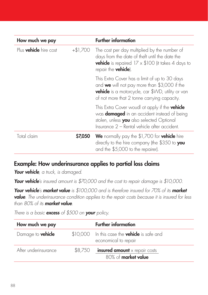| How much we pay               |          | <b>Further information</b>                                                                                                                                                                               |
|-------------------------------|----------|----------------------------------------------------------------------------------------------------------------------------------------------------------------------------------------------------------|
| Plus <b>vehicle</b> hire cost | +\$1,700 | The cost per day multiplied by the number of<br>days from the date of theft until the date the<br><b>vehicle</b> is repaired $17 \times $100$ (it takes 4 days to<br>repair the <b>vehicle</b> ).        |
|                               |          | This Extra Cover has a limit of up to 30 days<br>and we will not pay more than \$3,000 if the<br><b>vehicle</b> is a motorcycle, car \$WD, utility or van<br>of not more that 2 tonne carrying capacity. |
|                               |          | This Extra Cover woudl ot apply if the vehicle<br>was <b>damaged</b> in an accident instead of being<br>stolen, unless you also selected Optional<br>Insurance 2 - Rental vehicle after accident.        |
| Total claim                   | \$7,050  | We normally pay the \$1,700 for vehicle hire<br>directly to the hire company (the \$350 to you<br>and the \$5,000 to the repairer).                                                                      |

# Example: How underinsurance applies to partial loss claims

*Your vehicle, a truck, is damaged.*

*Your vehicle's insured amount is \$70,000 and the cost to repair damage is \$10,000.*

*Your vehicle's market value* is \$100,000 and is therefore insured for 70% of its market *value. The underinsurance condition applies to the repair costs because it is insured for less than 80% of its market value.*

| icio is a pasic <b>excess</b> or your off <b>your</b> policy. |         |                                                                              |  |
|---------------------------------------------------------------|---------|------------------------------------------------------------------------------|--|
| How much we pay                                               |         | <b>Further information</b>                                                   |  |
| Damage to <b>vehicle</b>                                      |         | \$10,000 In this case the <b>vehicle</b> is safe and<br>economical to repair |  |
| After underinsurance                                          | \$8,750 | insured amount x repair costs<br>80% of market value                         |  |

*There is a basic excess of \$500 on your policy.*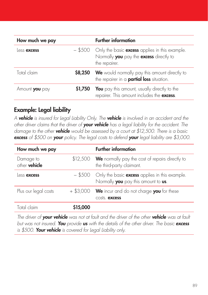| How much we pay |           | <b>Further information</b>                                                                                        |
|-----------------|-----------|-------------------------------------------------------------------------------------------------------------------|
| Less excess     | $-$ \$500 | Only the basic <b>excess</b> applies in this example.<br>Normally you pay the excess directly to<br>the repairer. |
| Total claim     |           | \$8,250 We would normally pay this amount directly to<br>the repairer in a <b>partial loss</b> situation.         |
| Amount you pay  | \$1,750   | You pay this amount, usually directly to the<br>repairer. This amount includes the excess.                        |

# Example: Legal liability

*A vehicle is insured for Legal Liability Only. The vehicle is involved in an accident and the other driver claims that the driver of your vehicle has a legal liability for the accident. The damage to the other vehicle would be assessed by a court at \$12,500. There is a basic excess of \$500 on your policy. The legal costs to defend your legal liability are \$3,000.*

| How much we pay                   |         | <b>Further information</b>                                                                             |
|-----------------------------------|---------|--------------------------------------------------------------------------------------------------------|
| Damage to<br>other <b>vehicle</b> |         | \$12,500 We normally pay the cost of repairs directly to<br>the third-party claimant.                  |
| Less excess                       |         | $-$ \$500 Only the basic <b>excess</b> applies in this example.<br>Normally you pay this amount to us. |
| Plus our legal costs              |         | $+$ \$3,000 We incur and do not charge you for these<br>costs. excess                                  |
| Total claim                       | S15.000 |                                                                                                        |

*The driver of your vehicle was not at fault and the driver of the other vehicle was at fault but was not insured. You provide us with the details of the other driver. The basic excess is \$500. Your vehicle is covered for Legal Liability only.*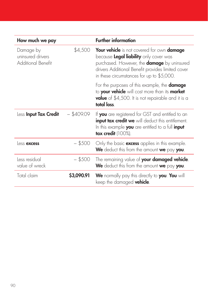| How much we pay                                             |              | <b>Further information</b>                                                                                                                                                                                                                                 |
|-------------------------------------------------------------|--------------|------------------------------------------------------------------------------------------------------------------------------------------------------------------------------------------------------------------------------------------------------------|
| Damage by<br>uninsured drivers<br><b>Additional Benefit</b> | \$4,500      | <b>Your vehicle</b> is not covered for own <b>damage</b><br>because Legal liability only cover was<br>purchased. However, the <b>damage</b> by uninsured<br>drivers Additional Benefit provides limited cover<br>in these circumstances for up to \$5,000. |
|                                                             |              | For the purposes of this example, the <b>damage</b><br>to your vehicle will cost more than its market<br><b>value</b> of \$4,500. It is not repairable and it is a<br>total loss.                                                                          |
| Less Input Tax Credit                                       | $-$ \$409.09 | If <b>you</b> are registered for GST and entitled to an<br>input tax credit we will deduct this entitlement.<br>In this example you are entitled to a full input<br>tax credit (100%).                                                                     |
| Less excess                                                 | $-$ \$500    | Only the basic <b>excess</b> applies in this example.<br>We deduct this from the amount we pay you.                                                                                                                                                        |
| Less residual<br>value of wreck                             | - \$500      | The remaining value of your damaged vehicle.<br>We deduct this from the amount we pay you.                                                                                                                                                                 |
| Total claim                                                 | \$3,090.91   | <b>We</b> normally pay this directly to <b>you. You</b> will<br>keep the damaged <b>vehicle</b> .                                                                                                                                                          |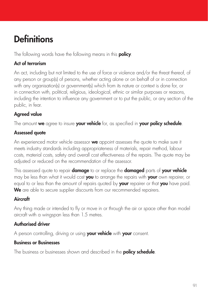# **Definitions**

The following words have the following means in this **policy**.

### Act of terrorism

An act, including but not limited to the use of force or violence and/or the threat thereof, of any person or group(s) of persons, whether acting alone or on behalf of or in connection with any organisation(s) or government(s) which from its nature or context is done for, or in connection with, political, religious, ideological, ethnic or similar purposes or reasons, including the intention to influence any government or to put the public, or any section of the public, in fear.

# Agreed value

The amount we agree to insure your vehicle for, as specified in your policy schedule.

# Assessed quote

An experienced motor vehicle assessor we appoint assesses the quote to make sure it meets industry standards including appropriateness of materials, repair method, labour costs, material costs, safety and overall cost effectiveness of the repairs. The quote may be adjusted or reduced on the recommendation of the assessor.

This assessed quote to repair **damage** to or replace the **damaged** parts of your vehicle may be less than what it would cost you to arrange the repairs with your own repairer, or equal to or less than the amount of repairs quoted by your repairer or that you have paid. We are able to secure supplier discounts from our recommended repairers.

# **Aircraft**

Any thing made or intended to fly or move in or through the air or space other than model aircraft with a wingspan less than 1.5 metres.

# Authorised driver

A person controlling, driving or using your vehicle with your consent.

#### Business or Businesses

The business or businesses shown and described in the **policy schedule**.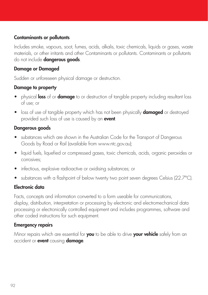#### Contaminants or pollutants

Includes smoke, vapours, soot, fumes, acids, alkalis, toxic chemicals, liquids or gases, waste materials, or other irritants and other Contaminants or pollutants. Contaminants or pollutants do not include **dangerous goods**.

#### Damage or Damaged

Sudden or unforeseen physical damage or destruction.

#### Damage to property

- physical **loss** of or **damage** to or destruction of tangible property including resultant loss of use; or
- loss of use of tangible property which has not been physically **damaged** or destroyed provided such loss of use is caused by an event.

#### Dangerous goods

- substances which are shown in the Australian Code for the Transport of Dangerous Goods by Road or Rail (available from [www.ntc.gov.au](http://www.ntc.gov.au));
- liquid fuels, liquefied or compressed gases, toxic chemicals, acids, organic peroxides or corrosives;
- infectious, explosive radioactive or oxidising substances; or
- substances with a flashpoint of below twenty two point seven degrees Celsius (22.7°C).

#### Electronic data

Facts, concepts and information converted to a form useable for communications, display, distribution, interpretation or processing by electronic and electromechanical data processing or electronically controlled equipment and includes programmes, software and other coded instructions for such equipment.

#### Emergency repairs

Minor repairs which are essential for you to be able to drive your vehicle safely from an accident or **event** causing **damage**.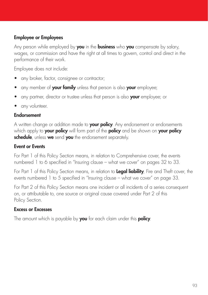#### Employee or Employees

Any person while employed by you in the business who you compensate by salary, wages, or commission and have the right at all times to govern, control and direct in the performance of their work.

Employee does not include:

- any broker, factor, consignee or contractor;
- any member of your family unless that person is also your employee;
- any partner, director or trustee unless that person is also **your** employee; or
- any volunteer.

#### Endorsement

A written change or addition made to your policy. Any endorsement or endorsements which apply to **your policy** will form part of the **policy** and be shown on **your policy** schedule, unless we send you the endorsement separately.

#### Event or Events

For Part 1 of this Policy Section means, in relation to Comprehensive cover, the events numbered 1 to 6 specified in "Insuring clause – what we cover" on pages 32 to 33.

For Part 1 of this Policy Section means, in relation to **Legal liability**, Fire and Theft cover, the events numbered 1 to 5 specified in "Insuring clause – what we cover" on page 33.

For Part 2 of this Policy Section means one incident or all incidents of a series consequent on, or attributable to, one source or original cause covered under Part 2 of this Policy Section.

#### Excess or Excesses

The amount which is payable by you for each claim under this policy.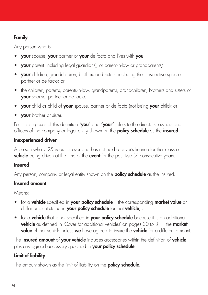#### Family

Any person who is:

- **your** spouse, **your** partner or **your** de facto and lives with **you**;
- your parent (including legal guardians), or parent-in-law or grandparents;
- your children, grandchildren, brothers and sisters, including their respective spouse, partner or de facto; or
- the children, parents, parents-in-law, arandparents, arandchildren, brothers and sisters of your spouse, partner or de facto.
- your child or child of your spouse, partner or de facto (not being your child); or
- your brother or sister.

For the purposes of this definition "**you**" and "**your**" refers to the directors, owners and officers of the company or legal entity shown on the **policy schedule** as the **insured**.

#### Inexperienced driver

A person who is 25 years or over and has not held a driver's licence for that class of **vehicle** being driven at the time of the event for the past two (2) consecutive years.

#### Insured

Any person, company or legal entity shown on the **policy schedule** as the insured.

#### Insured amount

Means:

- for a **vehicle** specified in **your policy schedule** the corresponding **market value** or dollar amount stated in **your policy schedule** for that **vehicle**; or
- for a **vehicle** that is not specified in **your policy schedule** because it is an additional vehicle as defined in 'Cover for additional vehicles' on pages 30 to 31 – the market value of that vehicle unless we have agreed to insure the vehicle for a different amount.

The **insured amount** of **your vehicle** includes accessories within the definition of **vehicle** plus any agreed accessory specified in your policy schedule.

#### Limit of liability

The amount shown as the limit of liability on the **policy schedule**.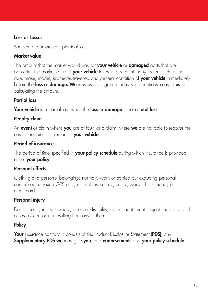#### Loss or Losses

Sudden and unforeseen physical loss.

#### Market value

The amount that the market would pay for your vehicle or damaged parts that are obsolete. The market value of your vehicle takes into account many factors such as the age, make, model, kilometres travelled and general condition of your vehicle immediately before the **loss** or **damage. We** may use recognised industry publications to assist us in calculating the amount.

#### Partial loss

Your vehicle is a partial loss when the loss or damage is not a total loss.

### Penalty claim

An event or claim where you are at fault, or a claim where we are not able to recover the costs of repairing or replacing your vehicle.

### Period of insurance

The period of time specified in your policy schedule during which insurance is provided under your policy.

#### Personal effects

Clothing and personal belongings normally worn or carried but excluding personal computers, non-fixed GPS units, musical instruments, curios, works of art, money or credit cards.

# Personal injury

Death, bodily injury, sickness, disease, disability, shock, fright, mental injury, mental anguish, or loss of consortium resulting from any of them.

# **Policy**

**Your** insurance contract. It consists of this Product Disclosure Statement (PDS), any Supplementary PDS we may give you, and endorsements and your policy schedule.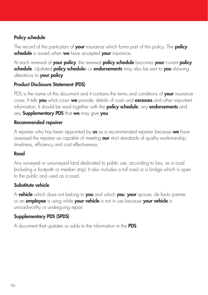#### Policy schedule

The record of the particulars of **your** insurance which forms part of this policy. The **policy** schedule is issued when we have accepted your insurance.

At each renewal of your policy, the renewal policy schedule becomes your current policy schedule. Updated policy schedules or endorsements may also be sent to you showing alterations to **your policy**.

#### Product Disclosure Statement (PDS)

PDS is the name of this document and it contains the terms and conditions of your insurance cover. It tells **you** what cover **we** provide, details of costs and **excesses** and other important information. It should be read together with the **policy schedule**, any **endorsements** and any **Supplementary PDS** that we may give you.

#### Recommended repairer

A repairer who has been appointed by  $us$  as a recommended repairer because  $we$  have assessed the repairer as capable of meeting **our** strict standards of quality workmanship, timeliness, efficiency and cost effectiveness.

#### Road

Any surveyed or unsurveyed land dedicated to public use, according to law, as a road (including a footpath or median strip). It also includes a toll road or a bridge which is open to the public and used as a road.

#### Substitute vehicle

A **vehicle** which does not belong to you and which you, your spouse, de facto partner or an **employee** is using while your vehicle is not in use because your vehicle is unroadworthy or undergoing repair.

#### Supplementary PDS (SPDS)

A document that updates or adds to the information in the PDS.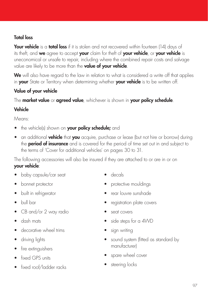#### Total loss

**Your vehicle** is a **total loss** if it is stolen and not recovered within fourteen (14) days of its theft, and we agree to accept your claim for theft of your vehicle, or your vehicle is uneconomical or unsafe to repair, including where the combined repair costs and salvage value are likely to be more than the **value of your vehicle**.

We will also have regard to the law in relation to what is considered a write off that applies in your State or Territory when determining whether your vehicle is to be written off.

#### Value of your vehicle

The **market value** or **agreed value**, whichever is shown in **your policy schedule**.

#### Vehicle

Means:

- the vehicle(s) shown on your policy schedule; and
- an additional **vehicle** that **you** acquire, purchase or lease (but not hire or borrow) during the **period of insurance** and is covered for the period of time set out in and subject to the terms of 'Cover for additional vehicles' on pages 30 to 31.

The following accessories will also be insured if they are attached to or are in or on your vehicle:

- baby capsule/car seat
- bonnet protector
- built in refrigerator
- bull bar
- CB and/or 2 way radio
- dash mats
- decorative wheel trims
- driving lights
- fire extinguishers
- fixed GPS units
- fixed roof/ladder racks
- decals
- protective mouldings
- rear louvre sunshade
- registration plate covers
- seat covers
- side steps for a 4WD
- sign writing
- sound system (fitted as standard by manufacturer)
- spare wheel cover
- steering locks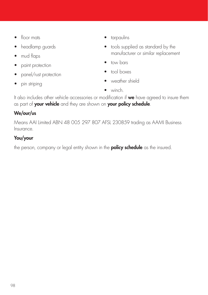- floor mats
- headlamp guards
- mud flaps
- paint protection
- panel/rust protection
- pin striping
- tarpaulins
- tools supplied as standard by the manufacturer or similar replacement
- tow bars
- tool boxes
- weather shield
- winch.

It also includes other vehicle accessories or modification if we have agreed to insure them as part of your vehicle and they are shown on your policy schedule.

#### We/our/us

Means AAI Limited ABN 48 005 297 807 AFSL 230859 trading as AAMI Business Insurance.

#### You/your

the person, company or legal entity shown in the **policy schedule** as the insured.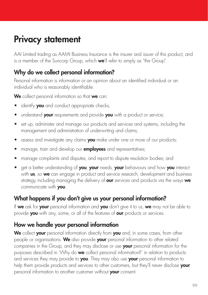# Privacy statement

AAI Limited trading as AAMI Business Insurance is the insurer and issuer of this product, and is a member of the Suncorp Group, which we'll refer to simply as "the Group".

# Why do we collect personal information?

Personal information is information or an opinion about an identified individual or an individual who is reasonably identifiable.

We collect personal information so that we can:

- identify you and conduct appropriate checks;
- understand your requirements and provide you with a product or service;
- set up, administer and manage our products and services and systems, including the management and administration of underwriting and claims;
- assess and investigate any claims you make under one or more of our products;
- manage, train and develop our **employees** and representatives;
- manage complaints and disputes, and report to dispute resolution bodies; and
- get a better understanding of you, your needs, your behaviours and how you interact with **us**, so we can engage in product and service research, development and business strategy including managing the delivery of **our** services and products via the ways we communicate with you.

# What happens if you don't give us your personal information?

If we ask for your personal information and you don't give it to us, we may not be able to provide you with any, some, or all of the features of our products or services.

# How we handle your personal information

We collect your personal information directly from you and, in some cases, from other people or organisations. We also provide your personal information to other related companies in the Group, and they may disclose or use **your** personal information for the purposes described in 'Why do we collect personal information?' in relation to products and services they may provide to you. They may also use your personal information to help them provide products and services to other customers, but they'll never disclose your personal information to another customer without **your** consent.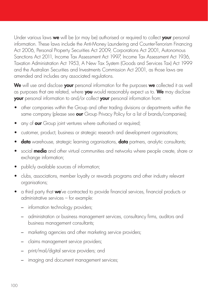Under various laws we will be (or may be) authorised or required to collect your personal information. These laws include the Anti-Money Laundering and Counter-Terrorism Financing Act 2006, Personal Property Securities Act 2009, Corporations Act 2001, Autonomous Sanctions Act 2011, Income Tax Assessment Act 1997, Income Tax Assessment Act 1936, Taxation Administration Act 1953, A New Tax System (Goods and Services Tax) Act 1999 and the Australian Securities and Investments Commission Act 2001, as those laws are amended and includes any associated regulations.

We will use and disclose your personal information for the purposes we collected it as well as purposes that are related, where you would reasonably expect us to. We may disclose your personal information to and/or collect your personal information from:

- other companies within the Group and other trading divisions or departments within the same company (please see our Group Privacy Policy for a list of brands/companies);
- any of **our** Group joint ventures where authorised or required;
- customer, product, business or strategic research and development organisations;
- data warehouse, strategic learning organisations, data partners, analytic consultants;
- social **media** and other virtual communities and networks where people create, share or exchange information;
- publicly available sources of information;
- clubs, associations, member loyalty or rewards programs and other industry relevant organisations;
- a third party that we've contracted to provide financial services, financial products or administrative services – for example:
	- information technology providers;
	- administration or business management services, consultancy firms, auditors and business management consultants;
	- marketing agencies and other marketing service providers;
	- claims management service providers;
	- print/mail/digital service providers; and
	- imaging and document management services;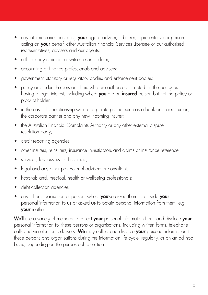- any intermediaries, including **your** agent, adviser, a broker, representative or person acting on your behalf, other Australian Financial Services Licensee or our authorised representatives, advisers and our agents;
- a third party claimant or witnesses in a claim;
- accounting or finance professionals and advisers;
- government, statutory or regulatory bodies and enforcement bodies;
- policy or product holders or others who are authorised or noted on the policy as having a legal interest, including where you are an insured person but not the policy or product holder;
- in the case of a relationship with a corporate partner such as a bank or a credit union, the corporate partner and any new incoming insurer;
- the Australian Financial Complaints Authority or any other external dispute resolution body;
- credit reporting agencies;
- other insurers, reinsurers, insurance investigators and claims or insurance reference
- services, loss assessors, financiers;
- legal and any other professional advisers or consultants;
- hospitals and, medical, health or wellbeing professionals;
- debt collection agencies;
- any other organisation or person, where you've asked them to provide your personal information to us or asked us to obtain personal information from them, e.g. your mother.

We'll use a variety of methods to collect your personal information from, and disclose your personal information to, these persons or organisations, including written forms, telephone calls and via electronic delivery. We may collect and disclose your personal information to these persons and organisations during the information life cycle, regularly, or on an ad hoc basis, depending on the purpose of collection.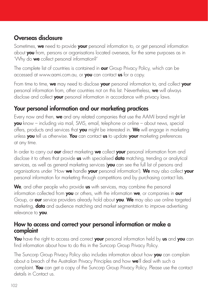# Overseas disclosure

Sometimes, we need to provide your personal information to, or get personal information about you from, persons or organisations located overseas, for the same purposes as in 'Why do we collect personal information?'

The complete list of countries is contained in **our** Group Privacy Policy, which can be accessed at [www.aami.com.au, o](http://www.aami.com.au/)r you can contact us for a copy.

From time to time, we may need to disclose your personal information to, and collect your personal information from, other countries not on this list. Nevertheless, we will always disclose and collect your personal information in accordance with privacy laws.

# Your personal information and our marketing practices

Every now and then, we and any related companies that use the AAMI brand might let you know – including via mail, SMS, email, telephone or online – about news, special offers, products and services that you might be interested in. We will engage in marketing unless you tell us otherwise. You can contact us to update your marketing preferences at any time.

In order to carry out our direct marketing we collect your personal information from and disclose it to others that provide us with specialised data matching, trending or analytical services, as well as general marketing services (you can see the full list of persons and organisations under 'How we handle your personal information'). We may also collect your personal information for marketing through competitions and by purchasing contact lists.

We, and other people who provide us with services, may combine the personal information collected from **you** or others, with the information **we**, or companies in **our** Group, or **our** service providers already hold about **you. We** may also use online targeted marketing, **data** and audience matching and market segmentation to improve advertising relevance to you.

#### How to access and correct your personal information or make a complaint

You have the right to access and correct your personal information held by us and you can find information about how to do this in the Suncorp Group Privacy Policy.

The Suncorp Group Privacy Policy also includes information about how you can complain about a breach of the Australian Privacy Principles and how we'll deal with such a complaint. You can get a copy of the Suncorp Group Privacy Policy. Please use the contact details in Contact us.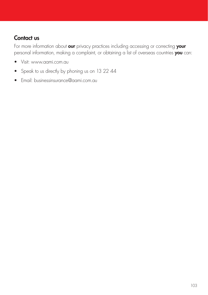# Contact us

For more information about our privacy practices including accessing or correcting your personal information, making a complaint, or obtaining a list of overseas countries you can:

- Visit: [www.aami.com.au](http://www.aami.com.au/)
- Speak to us directly by phoning us on 13 22 44
- Email: businessinsurance@aami.com.au